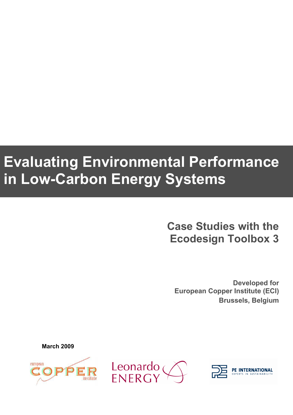# **Evaluating Environmental Performance in Low-Carbon Energy Systems**

# **Case Studies with the Ecodesign Toolbox 3**

**Developed for European Copper Institute (ECI) Brussels, Belgium**

**March 2009**





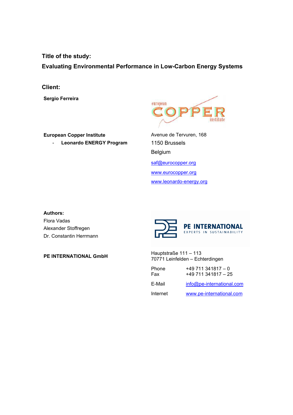**Title of the study:**

**Evaluating Environmental Performance in Low-Carbon Energy Systems**

**Client:**

**Sergio Ferreira**



- **Leonardo ENERGY Program**



Avenue de Tervuren, 168 1150 Brussels Belgium [saf@eurocopper.org](mailto:saf@eurocopper.org) [www.eurocopper.org](http://www.eurocopper.org/) [www.leonardo-energy.org](http://www.leonardo-energy.org/) 

#### **Authors:**

Flora Vadas Alexander Stoffregen Dr. Constantin Herrmann



**PE INTERNATIONAL GmbH** Hauptstraße 111 – 113 70771 Leinfelden – Echterdingen

| Phone<br>Fax | $+49711341817 - 0$<br>$+49711341817 - 25$ |
|--------------|-------------------------------------------|
| E-Mail       | info@pe-international.com                 |
| Internet     | www.pe-international.com                  |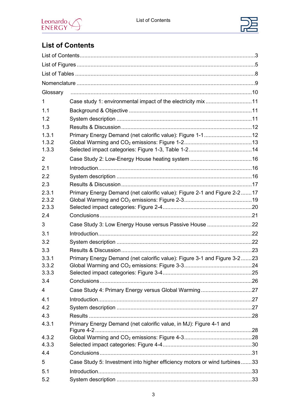

# <span id="page-2-0"></span>**List of Contents**

| Glossary |                                                                            |  |  |
|----------|----------------------------------------------------------------------------|--|--|
| 1        | Case study 1: environmental impact of the electricity mix 11               |  |  |
| 1.1      |                                                                            |  |  |
| 1.2      |                                                                            |  |  |
| 1.3      |                                                                            |  |  |
| 1.3.1    | Primary Energy Demand (net calorific value): Figure 1-112                  |  |  |
| 1.3.2    |                                                                            |  |  |
| 1.3.3    |                                                                            |  |  |
| 2        |                                                                            |  |  |
| 2.1      |                                                                            |  |  |
| 2.2      |                                                                            |  |  |
| 2.3      |                                                                            |  |  |
| 2.3.1    | Primary Energy Demand (net calorific value): Figure 2-1 and Figure 2-2  17 |  |  |
| 2.3.2    |                                                                            |  |  |
| 2.3.3    |                                                                            |  |  |
| 2.4      |                                                                            |  |  |
| 3        | Case Study 3: Low Energy House versus Passive House 22                     |  |  |
| 3.1      |                                                                            |  |  |
| 3.2      |                                                                            |  |  |
| 3.3      |                                                                            |  |  |
| 3.3.1    | Primary Energy Demand (net calorific value): Figure 3-1 and Figure 3-223   |  |  |
| 3.3.2    |                                                                            |  |  |
| 3.3.3    |                                                                            |  |  |
| 3.4      |                                                                            |  |  |
| 4        |                                                                            |  |  |
| 4.1      |                                                                            |  |  |
| 4.2      |                                                                            |  |  |
| 4.3      |                                                                            |  |  |
| 4.3.1    | Primary Energy Demand (net calorific value, in MJ): Figure 4-1 and         |  |  |
| 4.3.2    |                                                                            |  |  |
| 4.3.3    |                                                                            |  |  |
| 4.4      |                                                                            |  |  |
| 5        | Case Study 5: Investment into higher efficiency motors or wind turbines33  |  |  |
| 5.1      |                                                                            |  |  |
| 5.2      |                                                                            |  |  |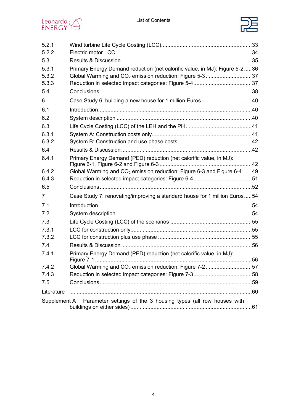



| 5.2.1          |                                                                                     |    |
|----------------|-------------------------------------------------------------------------------------|----|
| 5.2.2          |                                                                                     |    |
| 5.3            |                                                                                     |    |
| 5.3.1          | Primary Energy Demand reduction (net calorific value, in MJ): Figure 5-236          |    |
| 5.3.2<br>5.3.3 | Global Warming and CO <sub>2</sub> emission reduction: Figure 5-337                 |    |
| 5.4            |                                                                                     |    |
|                |                                                                                     |    |
| 6              | Case Study 6: building a new house for 1 million Euros40                            |    |
| 6.1            |                                                                                     |    |
| 6.2            |                                                                                     |    |
| 6.3            |                                                                                     |    |
| 6.3.1          |                                                                                     |    |
| 6.3.2          |                                                                                     |    |
| 6.4            |                                                                                     |    |
| 6.4.1          | Primary Energy Demand (PED) reduction (net calorific value, in MJ):                 |    |
| 6.4.2          | Global Warming and CO <sub>2</sub> emission reduction: Figure 6-3 and Figure 6-4 49 |    |
| 6.4.3          |                                                                                     |    |
| 6.5            |                                                                                     |    |
| 7              | Case Study 7: renovating/improving a standard house for 1 million Euros54           |    |
| 7.1            |                                                                                     |    |
| 7.2            |                                                                                     |    |
| 7.3            |                                                                                     |    |
| 7.3.1          |                                                                                     |    |
| 7.3.2          |                                                                                     |    |
| 7.4            |                                                                                     |    |
| 7.4.1          | Primary Energy Demand (PED) reduction (net calorific value, in MJ):                 | 56 |
| 7.4.2          | Global Warming and CO <sub>2</sub> emission reduction: Figure 7-257                 |    |
| 7.4.3          |                                                                                     |    |
| 7.5            |                                                                                     |    |
| Literature     |                                                                                     |    |
| Supplement A   | Parameter settings of the 3 housing types (all row houses with                      |    |
|                |                                                                                     |    |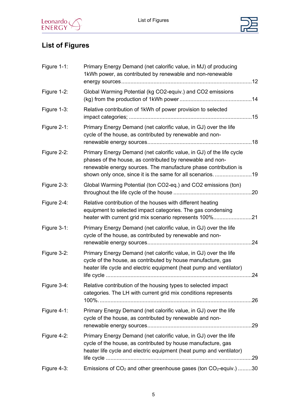



# <span id="page-4-0"></span>**List of Figures**

| Figure 1-1:    | Primary Energy Demand (net calorific value, in MJ) of producing<br>1kWh power, as contributed by renewable and non-renewable                                                                                                                                      |     |
|----------------|-------------------------------------------------------------------------------------------------------------------------------------------------------------------------------------------------------------------------------------------------------------------|-----|
| Figure 1-2:    | Global Warming Potential (kg CO2-equiv.) and CO2 emissions                                                                                                                                                                                                        |     |
| Figure 1-3:    | Relative contribution of 1kWh of power provision to selected                                                                                                                                                                                                      |     |
| Figure 2-1:    | Primary Energy Demand (net calorific value, in GJ) over the life<br>cycle of the house, as contributed by renewable and non-                                                                                                                                      |     |
| Figure 2-2:    | Primary Energy Demand (net calorific value, in GJ) of the life cycle<br>phases of the house, as contributed by renewable and non-<br>renewable energy sources. The manufacture phase contribution is<br>shown only once, since it is the same for all scenarios19 |     |
| Figure 2-3:    | Global Warming Potential (ton CO2-eq.) and CO2 emissions (ton)                                                                                                                                                                                                    |     |
| Figure 2-4:    | Relative contribution of the houses with different heating<br>equipment to selected impact categories. The gas condensing<br>heater with current grid mix scenario represents 100%21                                                                              |     |
| Figure 3-1:    | Primary Energy Demand (net calorific value, in GJ) over the life<br>cycle of the house, as contributed by renewable and non-                                                                                                                                      |     |
| Figure 3-2:    | Primary Energy Demand (net calorific value, in GJ) over the life<br>cycle of the house, as contributed by house manufacture, gas<br>heater life cycle and electric equipment (heat pump and ventilator)                                                           | .24 |
| Figure $3-4$ : | Relative contribution of the housing types to selected impact<br>categories. The LH with current grid mix conditions represents                                                                                                                                   |     |
| Figure $4-1$ : | Primary Energy Demand (net calorific value, in GJ) over the life<br>cycle of the house, as contributed by renewable and non-                                                                                                                                      |     |
| Figure 4-2:    | Primary Energy Demand (net calorific value, in GJ) over the life<br>cycle of the house, as contributed by house manufacture, gas<br>heater life cycle and electric equipment (heat pump and ventilator)                                                           |     |
| Figure 4-3:    | Emissions of $CO2$ and other greenhouse gases (ton $CO2$ -equiv.) 30                                                                                                                                                                                              |     |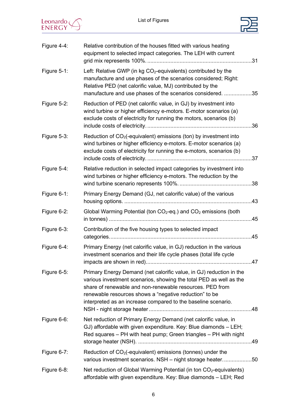



| Figure 4-4: | Relative contribution of the houses fitted with various heating<br>equipment to selected impact categories. The LEH with current                                                                                                                                                                                                 |      |
|-------------|----------------------------------------------------------------------------------------------------------------------------------------------------------------------------------------------------------------------------------------------------------------------------------------------------------------------------------|------|
| Figure 5-1: | Left: Relative GWP (in kg CO <sub>2</sub> -equivalents) contributed by the<br>manufacture and use phases of the scenarios considered; Right:<br>Relative PED (net calorific value, MJ) contributed by the<br>manufacture and use phases of the scenarios considered. 35                                                          |      |
| Figure 5-2: | Reduction of PED (net calorific value, in GJ) by investment into<br>wind turbine or higher efficiency e-motors. E-motor scenarios (a)<br>exclude costs of electricity for running the motors, scenarios (b)                                                                                                                      |      |
| Figure 5-3: | Reduction of $CO2(-equivalent)$ emissions (ton) by investment into<br>wind turbines or higher efficiency e-motors. E-motor scenarios (a)<br>exclude costs of electricity for running the e-motors, scenarios (b)                                                                                                                 |      |
| Figure 5-4: | Relative reduction in selected impact categories by investment into<br>wind turbines or higher efficiency e-motors. The reduction by the                                                                                                                                                                                         |      |
| Figure 6-1: | Primary Energy Demand (GJ, net calorific value) of the various                                                                                                                                                                                                                                                                   |      |
| Figure 6-2: | Global Warming Potential (ton CO <sub>2</sub> -eq.) and CO <sub>2</sub> emissions (both                                                                                                                                                                                                                                          |      |
| Figure 6-3: | Contribution of the five housing types to selected impact                                                                                                                                                                                                                                                                        |      |
| Figure 6-4: | Primary Energy (net calorific value, in GJ) reduction in the various<br>investment scenarios and their life cycle phases (total life cycle                                                                                                                                                                                       | . 47 |
| Figure 6-5: | Primary Energy Demand (net calorific value, in GJ) reduction in the<br>various investment scenarios, showing the total PED as well as the<br>share of renewable and non-renewable resources. PED from<br>renewable resources shows a "negative reduction" to be<br>interpreted as an increase compared to the baseline scenario. |      |
| Figure 6-6: | Net reduction of Primary Energy Demand (net calorific value, in<br>GJ) affordable with given expenditure. Key: Blue diamonds - LEH;<br>Red squares – PH with heat pump; Green triangles – PH with night                                                                                                                          |      |
| Figure 6-7: | Reduction of $CO2(-equivalent)$ emissions (tonnes) under the<br>various investment scenarios. NSH - night storage heater50                                                                                                                                                                                                       |      |
| Figure 6-8: | Net reduction of Global Warming Potential (in ton CO <sub>2</sub> -equivalents)<br>affordable with given expenditure. Key: Blue diamonds - LEH; Red                                                                                                                                                                              |      |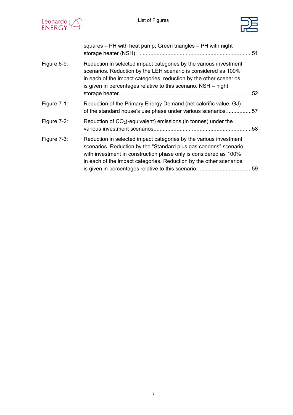



|                | squares - PH with heat pump; Green triangles - PH with night                                                                                                                                                                                                                    |     |
|----------------|---------------------------------------------------------------------------------------------------------------------------------------------------------------------------------------------------------------------------------------------------------------------------------|-----|
| Figure 6-9:    | Reduction in selected impact categories by the various investment<br>scenarios. Reduction by the LEH scenario is considered as 100%<br>in each of the impact categories, reduction by the other scenarios<br>is given in percentages relative to this scenario. NSH - night     | .52 |
| Figure $7-1$ : | Reduction of the Primary Energy Demand (net calorific value, GJ)<br>of the standard house's use phase under various scenarios57                                                                                                                                                 |     |
| Figure 7-2:    | Reduction of $CO2(-equivalent)$ emissions (in tonnes) under the                                                                                                                                                                                                                 |     |
| Figure 7-3:    | Reduction in selected impact categories by the various investment<br>scenarios. Reduction by the "Standard plus gas condens" scenario<br>with investment in construction phase only is considered as 100%<br>in each of the impact categories. Reduction by the other scenarios |     |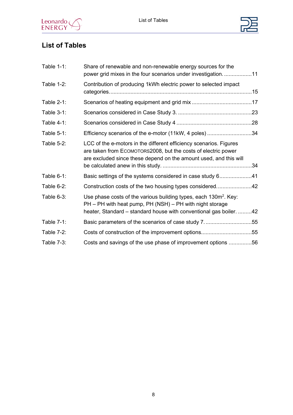



# <span id="page-7-0"></span>**List of Tables**

| <b>Table 1-1:</b> | Share of renewable and non-renewable energy sources for the<br>power grid mixes in the four scenarios under investigation11                                                                                    |  |
|-------------------|----------------------------------------------------------------------------------------------------------------------------------------------------------------------------------------------------------------|--|
| <b>Table 1-2:</b> | Contribution of producing 1kWh electric power to selected impact                                                                                                                                               |  |
| <b>Table 2-1:</b> |                                                                                                                                                                                                                |  |
| <b>Table 3-1:</b> |                                                                                                                                                                                                                |  |
| Table 4-1:        |                                                                                                                                                                                                                |  |
| Table 5-1:        | Efficiency scenarios of the e-motor (11kW, 4 poles) 34                                                                                                                                                         |  |
| Table 5-2:        | LCC of the e-motors in the different efficiency scenarios. Figures<br>are taken from ECOMOTORS2008, but the costs of electric power<br>are excluded since these depend on the amount used, and this will       |  |
| Table $6-1$ :     | Basic settings of the systems considered in case study 641                                                                                                                                                     |  |
| Table 6-2:        | Construction costs of the two housing types considered42                                                                                                                                                       |  |
| Table 6-3:        | Use phase costs of the various building types, each 130m <sup>2</sup> . Key:<br>PH – PH with heat pump, PH (NSH) – PH with night storage<br>heater, Standard – standard house with conventional gas boiler. 42 |  |
| Table 7-1:        | Basic parameters of the scenarios of case study 7. 55                                                                                                                                                          |  |
| <b>Table 7-2:</b> | Costs of construction of the improvement options55                                                                                                                                                             |  |
| <b>Table 7-3:</b> | Costs and savings of the use phase of improvement options 56                                                                                                                                                   |  |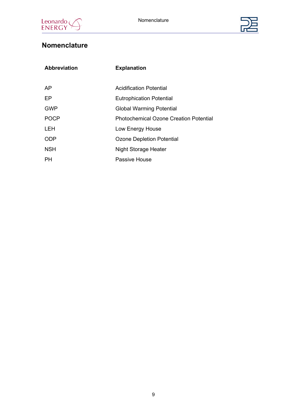



# <span id="page-8-0"></span>**Nomenclature**

| <b>Abbreviation</b> | <b>Explanation</b>                            |  |
|---------------------|-----------------------------------------------|--|
|                     |                                               |  |
| AP                  | <b>Acidification Potential</b>                |  |
| EP                  | <b>Eutrophication Potential</b>               |  |
| <b>GWP</b>          | <b>Global Warming Potential</b>               |  |
| <b>POCP</b>         | <b>Photochemical Ozone Creation Potential</b> |  |
| <b>LEH</b>          | Low Energy House                              |  |
| <b>ODP</b>          | <b>Ozone Depletion Potential</b>              |  |
| <b>NSH</b>          | Night Storage Heater                          |  |
| <b>PH</b>           | Passive House                                 |  |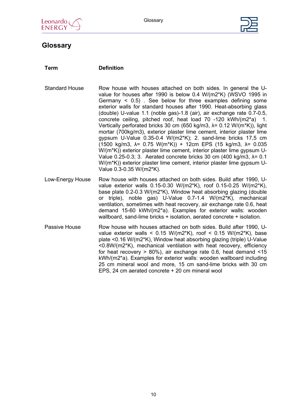

**Term Definition**



# <span id="page-9-0"></span>**Glossary**

| <b>Standard House</b> | Row house with houses attached on both sides. In general the U-<br>value for houses after 1990 is below 0.4 W/(m2*K) (WSVO 1995 in<br>Germany $\leq$ 0.5). See below for three examples defining some<br>exterior walls for standard houses after 1990. Heat-absorbing glass<br>(double) U-value 1.1 (noble gas)-1.8 (air), air exchange rate 0.7-0.5,<br>concrete ceiling, pitched roof, heat load 70 -120 kWh/(m2*a) 1.<br>Vertically perforated bricks 30 cm (650 kg/m3, λ= 0.12 W/(m*K)), light<br>mortar (700kg/m3), exterior plaster lime cement, interior plaster lime<br>gypsum U-Value 0.35-0.4 W/(m2*K); 2. sand-lime bricks 17,5 cm<br>$(1500 \text{ kg/m3}, \lambda = 0.75 \text{ W(m*K)}) + 12 \text{cm}$ EPS $(15 \text{ kg/m3}, \lambda = 0.035)$<br>W/(m*K)) exterior plaster lime cement, interior plaster lime gypsum U-<br>Value 0.25-0.3; 3. Aerated concrete bricks 30 cm (400 kg/m3, $\lambda$ = 0.1<br>W/(m*K)) exterior plaster lime cement, interior plaster lime gypsum U-<br>Value 0.3-0.35 W/(m2*K). |
|-----------------------|----------------------------------------------------------------------------------------------------------------------------------------------------------------------------------------------------------------------------------------------------------------------------------------------------------------------------------------------------------------------------------------------------------------------------------------------------------------------------------------------------------------------------------------------------------------------------------------------------------------------------------------------------------------------------------------------------------------------------------------------------------------------------------------------------------------------------------------------------------------------------------------------------------------------------------------------------------------------------------------------------------------------------------|
| Low-Energy House      | Row house with houses attached on both sides. Build after 1990, U-<br>value exterior walls 0.15-0.30 W/(m2*K), roof 0.15-0.25 W/(m2*K),<br>base plate 0.2-0.3 W/(m2*K), Window heat absorbing glazing (double<br>or triple), noble gas) U-Value 0.7-1.4 W/(m2*K), mechanical<br>ventilation, sometimes with heat recovery, air exchange rate 0.6, heat<br>demand 15-60 kWh/(m2*a). Examples for exterior walls: wooden<br>wallboard, sand-lime bricks + isolation, aerated concrete + isolation.                                                                                                                                                                                                                                                                                                                                                                                                                                                                                                                                 |
| Passive House         | Row house with houses attached on both sides. Build after 1990, U-<br>value exterior walls < $0.15$ W/(m2*K), roof < $0.15$ W/(m2*K), base<br>plate <0.16 W/(m2*K), Window heat absorbing glazing (triple) U-Value<br><0.8W/(m2*K), mechanical ventilation with heat recovery, efficiency<br>for heat recovery $> 80\%$ ), air exchange rate 0.6, heat demand <15<br>kWh/(m2*a). Examples for exterior walls: wooden wallboard including<br>25 cm mineral wool and more, 15 cm sand-lime bricks with 30 cm<br>EPS, 24 cm aerated concrete + 20 cm mineral wool                                                                                                                                                                                                                                                                                                                                                                                                                                                                   |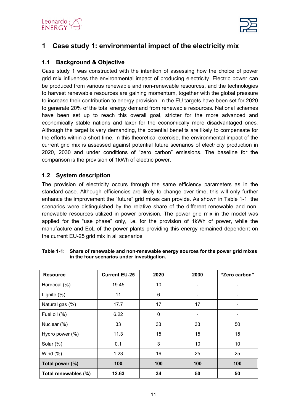

# <span id="page-10-0"></span>**1 Case study 1: environmental impact of the electricity mix**

#### <span id="page-10-1"></span>**1.1 Background & Objective**

Case study 1 was constructed with the intention of assessing how the choice of power grid mix influences the environmental impact of producing electricity. Electric power can be produced from various renewable and non-renewable resources, and the technologies to harvest renewable resources are gaining momentum, together with the global pressure to increase their contribution to energy provision. In the EU targets have been set for 2020 to generate 20% of the total energy demand from renewable resources. National schemes have been set up to reach this overall goal, stricter for the more advanced and economically stable nations and laxer for the economically more disadvantaged ones. Although the target is very demanding, the potential benefits are likely to compensate for the efforts within a short time. In this theoretical exercise, the environmental impact of the current grid mix is assessed against potential future scenarios of electricity production in 2020, 2030 and under conditions of "zero carbon" emissions. The baseline for the comparison is the provision of 1kWh of electric power.

#### <span id="page-10-2"></span>**1.2 System description**

The provision of electricity occurs through the same efficiency parameters as in the standard case. Although efficiencies are likely to change over time, this will only further enhance the improvement the "future" grid mixes can provide. As shown in [Table 1-1,](#page-10-3) the scenarios were distinguished by the relative share of the different renewable and nonrenewable resources utilized in power provision. The power grid mix in the model was applied for the "use phase" only, i.e. for the provision of 1kWh of power, while the manufacture and EoL of the power plants providing this energy remained dependent on the current EU-25 grid mix in all scenarios.

| <b>Resource</b>      | <b>Current EU-25</b> | 2020     | 2030 | "Zero carbon" |
|----------------------|----------------------|----------|------|---------------|
| Hardcoal (%)         | 19.45                | 10       |      |               |
| Lignite (%)          | 11                   | 6        | ۰    |               |
| Natural gas (%)      | 17.7                 | 17       | 17   |               |
| Fuel oil (%)         | 6.22                 | $\Omega$ |      |               |
| Nuclear (%)          | 33                   | 33       | 33   | 50            |
| Hydro power (%)      | 11.3                 | 15       | 15   | 15            |
| Solar (%)            | 0.1                  | 3        | 10   | 10            |
| Wind $(\%)$          | 1.23                 | 16       | 25   | 25            |
| Total power (%)      | 100                  | 100      | 100  | 100           |
| Total renewables (%) | 12.63                | 34       | 50   | 50            |

<span id="page-10-3"></span>**Table 1-1: Share of renewable and non-renewable energy sources for the power grid mixes in the four scenarios under investigation.**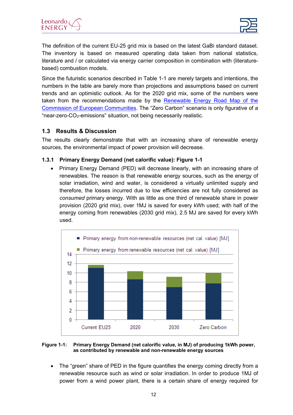

The definition of the current EU-25 grid mix is based on the latest GaBi standard dataset. The inventory is based on measured operating data taken from national statistics, literature and / or calculated via energy carrier composition in combination with (literaturebased) combustion models.

Since the futuristic scenarios described in [Table 1-1](#page-10-3) are merely targets and intentions, the numbers in the table are barely more than projections and assumptions based on current trends and an optimistic outlook. As for the 2020 grid mix, some of the numbers were taken from the recommendations made by the [Renewable Energy Road Map of the](http://ec.europa.eu/energy/energy_policy/doc/05_renewable_energy_roadmap_full_impact_assessment_en.pdf)  [Commission of European Communities.](http://ec.europa.eu/energy/energy_policy/doc/05_renewable_energy_roadmap_full_impact_assessment_en.pdf) The "Zero Carbon" scenario is only figurative of a "near-zero-CO<sub>2</sub>-emissions" situation, not being necessarily realistic.

#### <span id="page-11-0"></span>**1.3 Results & Discussion**

The results clearly demonstrate that with an increasing share of renewable energy sources, the environmental impact of power provision will decrease.

#### <span id="page-11-1"></span>**1.3.1 Primary Energy Demand (net calorific value): [Figure 1-1](#page-11-2)**

• Primary Energy Demand (PED) will decrease linearly, with an increasing share of renewables. The reason is that renewable energy sources, such as the energy of solar irradiation, wind and water, is considered a virtually unlimited supply and therefore, the losses incurred due to low efficiencies are not fully considered as *consumed* primary energy. With as little as one third of renewable share in power provision (2020 grid mix), over 1MJ is saved for every kWh used; with half of the energy coming from renewables (2030 grid mix), 2.5 MJ are saved for every kWh used.



#### <span id="page-11-2"></span>**Figure 1-1: Primary Energy Demand (net calorific value, in MJ) of producing 1kWh power, as contributed by renewable and non-renewable energy sources**

• The "green" share of PED in the figure quantifies the energy coming directly from a renewable resource such as wind or solar irradiation. In order to produce 1MJ of power from a wind power plant, there is a certain share of energy required for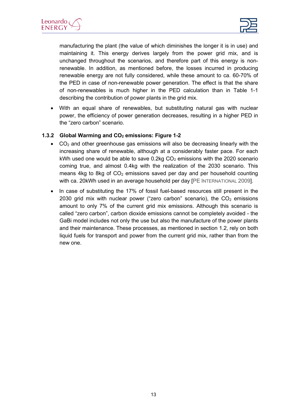



manufacturing the plant (the value of which diminishes the longer it is in use) and maintaining it. This energy derives largely from the power grid mix, and is unchanged throughout the scenarios, and therefore part of this energy is nonrenewable. In addition, as mentioned before, the losses incurred in producing renewable energy are not fully considered, while these amount to ca. 60-70% of the PED in case of non-renewable power generation. The effect is that the share of non-renewables is much higher in the PED calculation than in [Table 1-1](#page-10-3) describing the contribution of power plants in the grid mix.

• With an equal share of renewables, but substituting natural gas with nuclear power, the efficiency of power generation decreases, resulting in a higher PED in the "zero carbon" scenario.

#### <span id="page-12-0"></span>**1.3.2 Global Warming and CO2 emissions: [Figure 1-2](#page-13-1)**

- $CO<sub>2</sub>$  and other greenhouse gas emissions will also be decreasing linearly with the increasing share of renewable, although at a considerably faster pace. For each kWh used one would be able to save  $0.2$ kg  $CO<sub>2</sub>$  emissions with the 2020 scenario coming true, and almost 0.4kg with the realization of the 2030 scenario. This means 4kg to 8kg of  $CO<sub>2</sub>$  emissions saved per day and per household counting with ca. 20kWh used in an average household per day [PE [INTERNATIONAL 2009\]](#page-59-1).
- In case of substituting the 17% of fossil fuel-based resources still present in the 2030 grid mix with nuclear power ("zero carbon" scenario), the  $CO<sub>2</sub>$  emissions amount to only 7% of the current grid mix emissions. Although this scenario is called "zero carbon", carbon dioxide emissions cannot be completely avoided - the GaBi model includes not only the use but also the manufacture of the power plants and their maintenance. These processes, as mentioned in section [1.2,](#page-10-2) rely on both liquid fuels for transport and power from the current grid mix, rather than from the new one.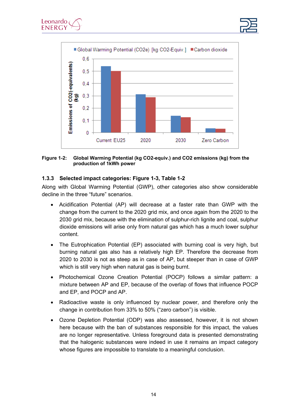



#### <span id="page-13-1"></span>**Figure 1-2: Global Warming Potential (kg CO2-equiv.) and CO2 emissions (kg) from the production of 1kWh power**

#### <span id="page-13-0"></span>**1.3.3 Selected impact categories: [Figure 1-3,](#page-14-0) [Table 1-2](#page-14-1)**

Along with Global Warming Potential (GWP), other categories also show considerable decline in the three "future" scenarios.

- Acidification Potential (AP) will decrease at a faster rate than GWP with the change from the current to the 2020 grid mix, and once again from the 2020 to the 2030 grid mix, because with the elimination of sulphur-rich lignite and coal, sulphur dioxide emissions will arise only from natural gas which has a much lower sulphur content.
- The Eutrophication Potential (EP) associated with burning coal is very high, but burning natural gas also has a relatively high EP. Therefore the decrease from 2020 to 2030 is not as steep as in case of AP, but steeper than in case of GWP which is still very high when natural gas is being burnt.
- Photochemical Ozone Creation Potential (POCP) follows a similar pattern: a mixture between AP and EP, because of the overlap of flows that influence POCP and EP, and POCP and AP.
- Radioactive waste is only influenced by nuclear power, and therefore only the change in contribution from 33% to 50% ("zero carbon") is visible.
- Ozone Depletion Potential (ODP) was also assessed, however, it is not shown here because with the ban of substances responsible for this impact, the values are no longer representative. Unless foreground data is presented demonstrating that the halogenic substances were indeed in use it remains an impact category whose figures are impossible to translate to a meaningful conclusion.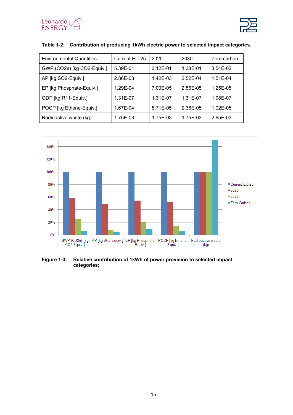



| <b>Environmental Quantities</b> | Current EU-25 | 2020     | 2030     | Zero carbon |
|---------------------------------|---------------|----------|----------|-------------|
| GWP (CO2e) [kg CO2-Equiv.]      | 5.39E-01      | 3.12E-01 | 1.38E-01 | $3.54E-02$  |
| AP [kg SO2-Equiv.]              | 2.86E-03      | 1.42E-03 | 2.52E-04 | 1.51E-04    |
| EP [kg Phosphate-Equiv.]        | 1.29E-04      | 7.00E-05 | 2.56E-05 | 1.25E-05    |
| ODP [kg R11-Equiv.]             | 1.31E-07      | 1.31E-07 | 1.31E-07 | 1.98E-07    |
| POCP [kg Ethene-Equiv.]         | 1.67E-04      | 8.71E-05 | 2.36E-05 | 1.02E-05    |
| Radioactive waste (kg)          | 1.75E-03      | 1.75E-03 | 1.75E-03 | 2.65E-03    |

#### <span id="page-14-1"></span>**Table 1-2: Contribution of producing 1kWh electric power to selected impact categories.**



<span id="page-14-0"></span>**Figure 1-3: Relative contribution of 1kWh of power provision to selected impact categories;**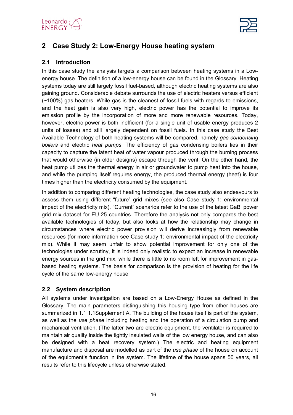

# <span id="page-15-0"></span>**2 Case Study 2: Low-Energy House heating system**

#### <span id="page-15-1"></span>**2.1 Introduction**

In this case study the analysis targets a comparison between heating systems in a Lowenergy house. The definition of a low-energy house can be found in the Glossary. Heating systems today are still largely fossil fuel-based, although electric heating systems are also gaining ground. Considerable debate surrounds the use of electric heaters versus efficient (~100%) gas heaters. While gas is the cleanest of fossil fuels with regards to emissions, and the heat gain is also very high, electric power has the potential to improve its emission profile by the incorporation of more and more renewable resources. Today, however, electric power is both inefficient (for a single unit of usable energy produces 2 units of losses) and still largely dependent on fossil fuels. In this case study the Best Available Technology of both heating systems will be compared, namely *gas condensing boilers* and electric *heat pumps*. The efficiency of gas condensing boilers lies in their capacity to capture the latent heat of water vapour produced through the burning process that would otherwise (in older designs) escape through the vent. On the other hand, the heat pump utilizes the thermal energy in air or groundwater to pump heat into the house, and while the pumping itself requires energy, the produced thermal energy (heat) is four times higher than the electricity consumed by the equipment.

In addition to comparing different heating technologies, the case study also endeavours to assess them using different "future" grid mixes (see also [Case study 1:](#page-10-0) environmental [impact of the electricity mix\)](#page-10-0). "Current" scenarios refer to the use of the latest GaBi power grid mix dataset for EU-25 countries. Therefore the analysis not only compares the best available technologies of today, but also looks at how the relationship may change in circumstances where electric power provision will derive increasingly from renewable resources (for more information see Case study 1: [environmental impact of the electricity](#page-10-0)  [mix\)](#page-10-0). While it may seem unfair to show potential improvement for only one of the technologies under scrutiny, it is indeed only realistic to expect an increase in renewable energy sources in the grid mix, while there is little to no room left for improvement in gasbased heating systems. The basis for comparison is the provision of heating for the life cycle of the same low-energy house.

#### <span id="page-15-2"></span>**2.2 System description**

All systems under investigation are based on a Low-Energy House as defined in the Glossary. The main parameters distinguishing this housing type from other houses are summarized in [1.1.1.1Supplement A.](#page-60-0) The building of the house itself is part of the system, as well as the *use phase* including heating and the operation of a circulation pump and mechanical ventilation. (The latter two are electric equipment, the ventilator is required to maintain air quality inside the tightly insulated walls of the low energy house, and can also be designed with a heat recovery system.) The electric and heating equipment manufacture and disposal are modelled as part of the *use phase* of the house on account of the equipment's function in the system. The lifetime of the house spans 50 years, all results refer to this lifecycle unless otherwise stated.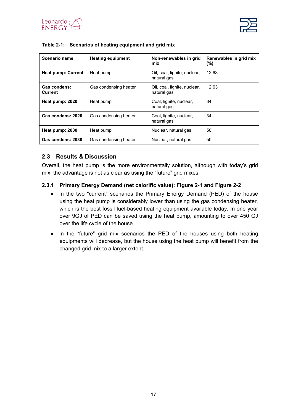



| Scenario name             | <b>Heating equipment</b> | Non-renewables in grid<br>mix               | Renewables in grid mix<br>(%) |
|---------------------------|--------------------------|---------------------------------------------|-------------------------------|
| <b>Heat pump: Current</b> | Heat pump                | Oil, coal, lignite, nuclear,<br>natural gas | 12.63                         |
| Gas condens:<br>Current   | Gas condensing heater    | Oil, coal, lignite, nuclear,<br>natural gas | 12.63                         |
| Heat pump: 2020           | Heat pump                | Coal, lignite, nuclear,<br>natural gas      | 34                            |
| Gas condens: 2020         | Gas condensing heater    | Coal, lignite, nuclear,<br>natural gas      | 34                            |
| Heat pump: 2030           | Heat pump                | Nuclear, natural gas                        | 50                            |
| Gas condens: 2030         | Gas condensing heater    | Nuclear, natural gas                        | 50                            |

<span id="page-16-2"></span>

|  |  |  |  | Table 2-1: Scenarios of heating equipment and grid mix |
|--|--|--|--|--------------------------------------------------------|
|--|--|--|--|--------------------------------------------------------|

#### <span id="page-16-0"></span>**2.3 Results & Discussion**

Overall, the heat pump is the more environmentally solution, although with today's grid mix, the advantage is not as clear as using the "future" grid mixes.

#### <span id="page-16-1"></span>**2.3.1 Primary Energy Demand (net calorific value): [Figure 2-1](#page-17-0) and [Figure 2-2](#page-18-1)**

- In the two "current" scenarios the Primary Energy Demand (PED) of the house using the heat pump is considerably lower than using the gas condensing heater, which is the best fossil fuel-based heating equipment available today. In one year over 9GJ of PED can be saved using the heat pump, amounting to over 450 GJ over the life cycle of the house
- In the "future" grid mix scenarios the PED of the houses using both heating equipments will decrease, but the house using the heat pump will benefit from the changed grid mix to a larger extent.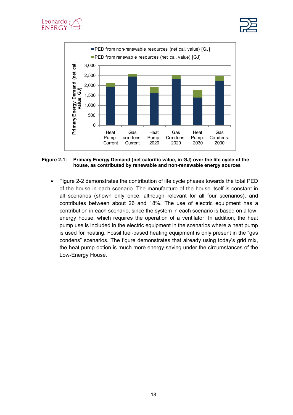



<span id="page-17-0"></span>**Figure 2-1: Primary Energy Demand (net calorific value, in GJ) over the life cycle of the house, as contributed by renewable and non-renewable energy sources**

• [Figure 2-2](#page-18-1) demonstrates the contribution of life cycle phases towards the total PED of the house in each scenario. The manufacture of the house itself is constant in all scenarios (shown only once, although relevant for all four scenarios), and contributes between about 26 and 18%. The use of electric equipment has a contribution in each scenario, since the system in each scenario is based on a lowenergy house, which requires the operation of a ventilator. In addition, the heat pump use is included in the electric equipment in the scenarios where a heat pump is used for heating. Fossil fuel-based heating equipment is only present in the "gas condens" scenarios. The figure demonstrates that already using today's grid mix, the heat pump option is much more energy-saving under the circumstances of the Low-Energy House.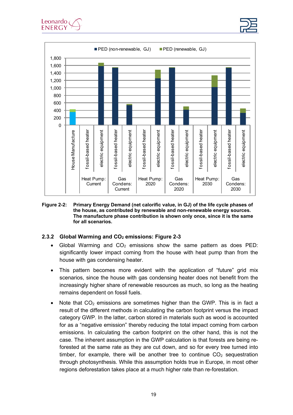





#### <span id="page-18-1"></span>**Figure 2-2: Primary Energy Demand (net calorific value, in GJ) of the life cycle phases of the house, as contributed by renewable and non-renewable energy sources. The manufacture phase contribution is shown only once, since it is the same for all scenarios.**

#### <span id="page-18-0"></span>**2.3.2 Global Warming and CO2 emissions: [Figure 2-3](#page-19-1)**

- Global Warming and  $CO<sub>2</sub>$  emissions show the same pattern as does PED: significantly lower impact coming from the house with heat pump than from the house with gas condensing heater.
- This pattern becomes more evident with the application of "future" grid mix scenarios, since the house with gas condensing heater does not benefit from the increasingly higher share of renewable resources as much, so long as the heating remains dependent on fossil fuels.
- Note that  $CO<sub>2</sub>$  emissions are sometimes higher than the GWP. This is in fact a result of the different methods in calculating the carbon footprint versus the impact category GWP. In the latter, carbon stored in materials such as wood is accounted for as a "negative emission" thereby reducing the total impact coming from carbon emissions. In calculating the carbon footprint on the other hand, this is not the case. The inherent assumption in the GWP calculation is that forests are being reforested at the same rate as they are cut down, and so for every tree turned into timber, for example, there will be another tree to continue  $CO<sub>2</sub>$  sequestration through photosynthesis. While this assumption holds true in Europe, in most other regions deforestation takes place at a much higher rate than re-forestation.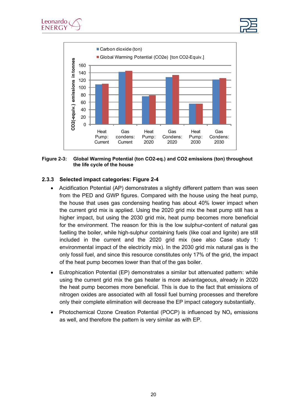



<span id="page-19-1"></span>**Figure 2-3: Global Warming Potential (ton CO2-eq.) and CO2 emissions (ton) throughout the life cycle of the house**

#### <span id="page-19-0"></span>**2.3.3 Selected impact categories: [Figure 2-4](#page-20-1)**

- Acidification Potential (AP) demonstrates a slightly different pattern than was seen from the PED and GWP figures. Compared with the house using the heat pump, the house that uses gas condensing heating has about 40% lower impact when the current grid mix is applied. Using the 2020 grid mix the heat pump still has a higher impact, but using the 2030 grid mix, heat pump becomes more beneficial for the environment. The reason for this is the low sulphur-content of natural gas fuelling the boiler, while high-sulphur containing fuels (like coal and lignite) are still included in the current and the 2020 grid mix (see also [Case study 1:](#page-10-0) [environmental impact of the electricity mix\)](#page-10-0). In the 2030 grid mix natural gas is the only fossil fuel, and since this resource constitutes only 17% of the grid, the impact of the heat pump becomes lower than that of the gas boiler.
- Eutrophication Potential (EP) demonstrates a similar but attenuated pattern: while using the current grid mix the gas heater is more advantageous, already in 2020 the heat pump becomes more beneficial. This is due to the fact that emissions of nitrogen oxides are associated with all fossil fuel burning processes and therefore only their complete elimination will decrease the EP impact category substantially.
- Photochemical Ozone Creation Potential (POCP) is influenced by  $NO<sub>x</sub>$  emissions as well, and therefore the pattern is very similar as with EP.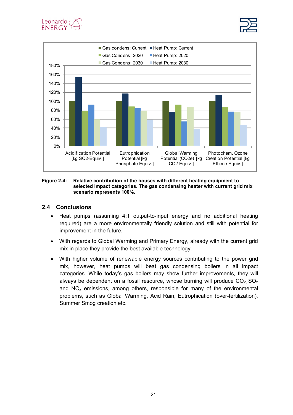



#### <span id="page-20-1"></span>**Figure 2-4: Relative contribution of the houses with different heating equipment to selected impact categories. The gas condensing heater with current grid mix scenario represents 100%.**

#### <span id="page-20-0"></span>**2.4 Conclusions**

- Heat pumps (assuming 4:1 output-to-input energy and no additional heating required) are a more environmentally friendly solution and still with potential for improvement in the future.
- With regards to Global Warming and Primary Energy, already with the current grid mix in place they provide the best available technology.
- With higher volume of renewable energy sources contributing to the power grid mix, however, heat pumps will beat gas condensing boilers in all impact categories. While today's gas boilers may show further improvements, they will always be dependent on a fossil resource, whose burning will produce  $CO<sub>2</sub>$ ,  $SO<sub>2</sub>$ and  $NO<sub>x</sub>$  emissions, among others, responsible for many of the environmental problems, such as Global Warming, Acid Rain, Eutrophication (over-fertilization), Summer Smog creation etc.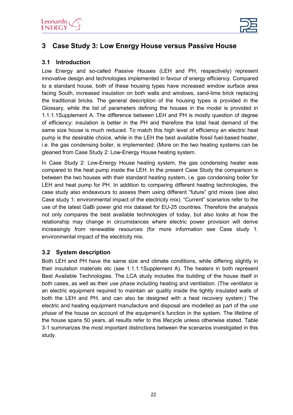

# <span id="page-21-0"></span>**3 Case Study 3: Low Energy House versus Passive House**

#### <span id="page-21-1"></span>**3.1 Introduction**

Low Energy and so-called Passive Houses (LEH and PH, respectively) represent innovative design and technologies implemented in favour of energy efficiency. Compared to a standard house, both of these housing types have increased window surface area facing South, increased insulation on both walls and windows, sand-lime brick replacing the traditional bricks. The general description of the housing types is provided in the Glossary, while the list of parameters defining the houses in the model is provided in [1.1.1.1Supplement A.](#page-60-0) The difference between LEH and PH is mostly question of degree of efficiency: insulation is better in the PH and therefore the total heat demand of the same size house is much reduced. To match this high level of efficiency an electric heat pump is the desirable choice, while in the LEH the best available fossil fuel-based heater, i.e. the gas condensing boiler, is implemented. (More on the two heating systems can be gleaned from [Case Study 2: Low-Energy House heating system.](#page-15-0)

In [Case Study 2: Low-Energy House heating system,](#page-15-0) the gas condensing heater was compared to the heat pump inside the LEH. In the present Case Study the comparison is between the two houses with their standard heating system, i.e. gas condensing boiler for LEH and heat pump for PH. In addition to comparing different heating technologies, the case study also endeavours to assess them using different "future" grid mixes (see also Case study 1: [environmental impact of the electricity mix\)](#page-10-0). "Current" scenarios refer to the use of the latest GaBi power grid mix dataset for EU-25 countries. Therefore the analysis not only compares the best available technologies of today, but also looks at how the relationship may change in circumstances where electric power provision will derive increasingly from renewable resources (for more information see [Case study 1:](#page-10-0) [environmental impact of the electricity mix.](#page-10-0)

#### <span id="page-21-2"></span>**3.2 System description**

Both LEH and PH have the same size and climate conditions, while differing slightly in their insulation materials etc (see [1.1.1.1Supplement A\)](#page-60-0). The heaters in both represent Best Available Technologies. The LCA study includes the building of the house itself in both cases, as well as their *use phase* including heating and ventilation. (The ventilator is an electric equipment required to maintain air quality inside the tightly insulated walls of both the LEH and PH, and can also be designed with a heat recovery system.) The electric and heating equipment manufacture and disposal are modelled as part of the *use phase* of the house on account of the equipment's function in the system. The lifetime of the house spans 50 years, all results refer to this lifecycle unless otherwise stated. [Table](#page-22-2)  [3-1](#page-22-2) summarizes the most important distinctions between the scenarios investigated in this study.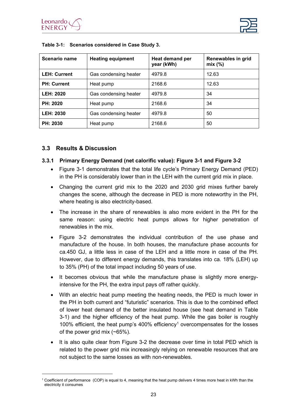

| Scenario name       | <b>Heating equipment</b> | Heat demand per<br>year (kWh) | Renewables in grid<br>mix(%) |
|---------------------|--------------------------|-------------------------------|------------------------------|
| <b>LEH: Current</b> | Gas condensing heater    | 4979.8                        | 12.63                        |
| <b>PH: Current</b>  | Heat pump                | 2168.6                        | 12.63                        |
| <b>LEH: 2020</b>    | Gas condensing heater    | 4979.8                        | 34                           |
| PH: 2020            | Heat pump                | 2168.6                        | 34                           |
| <b>LEH: 2030</b>    | Gas condensing heater    | 4979.8                        | 50                           |
| PH: 2030            | Heat pump                | 2168.6                        | 50                           |

#### <span id="page-22-2"></span>**Table 3-1: Scenarios considered in Case Study 3.**

#### <span id="page-22-0"></span>**3.3 Results & Discussion**

#### <span id="page-22-1"></span>**3.3.1 Primary Energy Demand (net calorific value): [Figure 3-1](#page-23-1) and [Figure 3-2](#page-23-2)**

- [Figure 3-1](#page-23-1) demonstrates that the total life cycle's Primary Energy Demand (PED) in the PH is considerably lower than in the LEH with the current grid mix in place.
- Changing the current grid mix to the 2020 and 2030 grid mixes further barely changes the scene, although the decrease in PED is more noteworthy in the PH, where heating is also electricity-based.
- The increase in the share of renewables is also more evident in the PH for the same reason: using electric heat pumps allows for higher penetration of renewables in the mix.
- [Figure 3-2](#page-23-2) demonstrates the individual contribution of the use phase and manufacture of the house. In both houses, the manufacture phase accounts for ca.450 GJ, a little less in case of the LEH and a little more in case of the PH. However, due to different energy demands, this translates into ca. 18% (LEH) up to 35% (PH) of the total impact including 50 years of use.
- It becomes obvious that while the manufacture phase is slightly more energyintensive for the PH, the extra input pays off rather quickly.
- With an electric heat pump meeting the heating needs, the PED is much lower in the PH in both current and "futuristic" scenarios. This is due to the combined effect of lower heat demand of the better insulated house (see heat demand in [Table](#page-22-2)  [3-1\)](#page-22-2) and the higher efficiency of the heat pump. While the gas boiler is roughly 100% efficient, the heat pump's 400% efficiency<sup>1</sup> overcompensates for the losses of the power grid mix (~65%).
- It is also quite clear from [Figure 3-2](#page-23-2) the decrease over time in total PED which is related to the power grid mix increasingly relying on renewable resources that are not subject to the same losses as with non-renewables.

<span id="page-22-3"></span><sup>1</sup> Coefficient of performance (COP) is equal to 4, meaning that the heat pump delivers 4 times more heat in kWh than the electricity it consumes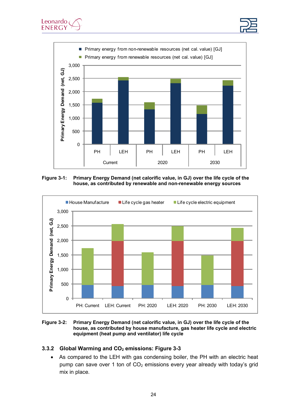





<span id="page-23-1"></span>**Figure 3-1: Primary Energy Demand (net calorific value, in GJ) over the life cycle of the house, as contributed by renewable and non-renewable energy sources**



<span id="page-23-2"></span>**Figure 3-2: Primary Energy Demand (net calorific value, in GJ) over the life cycle of the house, as contributed by house manufacture, gas heater life cycle and electric equipment (heat pump and ventilator) life cycle**

#### <span id="page-23-0"></span>**3.3.2 Global Warming and CO2 emissions: [Figure 3-3](#page-24-1)**

• As compared to the LEH with gas condensing boiler, the PH with an electric heat pump can save over 1 ton of  $CO<sub>2</sub>$  emissions every year already with today's grid mix in place.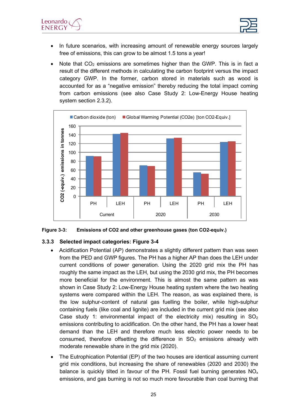



- In future scenarios, with increasing amount of renewable energy sources largely free of emissions, this can grow to be almost 1.5 tons a year!
- Note that  $CO<sub>2</sub>$  emissions are sometimes higher than the GWP. This is in fact a result of the different methods in calculating the carbon footprint versus the impact category GWP. In the former, carbon stored in materials such as wood is accounted for as a "negative emission" thereby reducing the total impact coming from carbon emissions (see also [Case Study 2: Low-Energy House heating](#page-15-0)  [system](#page-15-0) section [2.3.2\)](#page-18-0).



<span id="page-24-1"></span>

#### <span id="page-24-0"></span>**3.3.3 Selected impact categories: [Figure 3-4](#page-25-1)**

- Acidification Potential (AP) demonstrates a slightly different pattern than was seen from the PED and GWP figures. The PH has a higher AP than does the LEH under current conditions of power generation. Using the 2020 grid mix the PH has roughly the same impact as the LEH, but using the 2030 grid mix, the PH becomes more beneficial for the environment. This is almost the same pattern as was shown in [Case Study 2: Low-Energy House heating system](#page-15-0) where the two heating systems were compared within the LEH. The reason, as was explained there, is the low sulphur-content of natural gas fuelling the boiler, while high-sulphur containing fuels (like coal and lignite) are included in the current grid mix (see also Case study 1: [environmental impact of the electricity mix\)](#page-10-0) resulting in  $SO<sub>2</sub>$ emissions contributing to acidification. On the other hand, the PH has a lower heat demand than the LEH and therefore much less electric power needs to be consumed, therefore offsetting the difference in  $SO<sub>2</sub>$  emissions already with moderate renewable share in the grid mix (2020).
- The Eutrophication Potential (EP) of the two houses are identical assuming current grid mix conditions, but increasing the share of renewables (2020 and 2030) the balance is quickly tilted in favour of the PH. Fossil fuel burning generates  $NO<sub>x</sub>$ emissions, and gas burning is not so much more favourable than coal burning that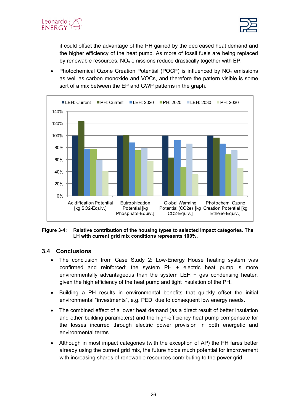



it could offset the advantage of the PH gained by the decreased heat demand and the higher efficiency of the heat pump. As more of fossil fuels are being replaced by renewable resources,  $NO<sub>x</sub>$  emissions reduce drastically together with EP.

• Photochemical Ozone Creation Potential (POCP) is influenced by  $NO<sub>x</sub>$  emissions as well as carbon monoxide and VOCs, and therefore the pattern visible is some sort of a mix between the EP and GWP patterns in the graph.



<span id="page-25-1"></span>**Figure 3-4: Relative contribution of the housing types to selected impact categories. The LH with current grid mix conditions represents 100%.**

#### <span id="page-25-0"></span>**3.4 Conclusions**

- The conclusion from [Case Study 2: Low-Energy House heating system](#page-15-0) was confirmed and reinforced: the system  $PH +$  electric heat pump is more environmentally advantageous than the system LEH  $+$  gas condensing heater, given the high efficiency of the heat pump and tight insulation of the PH.
- Building a PH results in environmental benefits that quickly offset the initial environmental "investments", e.g. PED, due to consequent low energy needs.
- The combined effect of a lower heat demand (as a direct result of better insulation and other building parameters) and the high-efficiency heat pump compensate for the losses incurred through electric power provision in both energetic and environmental terms
- Although in most impact categories (with the exception of AP) the PH fares better already using the current grid mix, the future holds much potential for improvement with increasing shares of renewable resources contributing to the power grid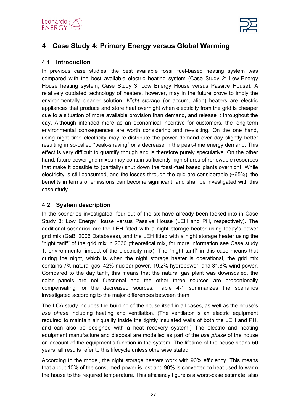

# <span id="page-26-0"></span>**4 Case Study 4: Primary Energy versus Global Warming**

#### <span id="page-26-1"></span>**4.1 Introduction**

In previous case studies, the best available fossil fuel-based heating system was compared with the best available electric heating system [\(Case Study 2: Low-Energy](#page-15-0)  [House heating system,](#page-15-0) [Case Study 3: Low Energy House versus Passive House\)](#page-21-0). A relatively outdated technology of heaters, however, may in the future prove to imply the environmentally cleaner solution. *Night storage* (or accumulation) heaters are electric appliances that produce and store heat overnight when electricity from the grid is cheaper due to a situation of more available provision than demand, and release it throughout the day. Although intended more as an economical incentive for customers, the long-term environmental consequences are worth considering and re-visiting. On the one hand, using night time electricity may re-distribute the power demand over day slightly better resulting in so-called "peak-shaving" or a decrease in the peak-time energy demand. This effect is very difficult to quantify though and is therefore purely speculative. On the other hand, future power grid mixes may contain sufficiently high shares of renewable resources that make it possible to (partially) shut down the fossil-fuel based plants overnight. While electricity is still consumed, and the losses through the grid are considerable (~65%), the benefits in terms of emissions can become significant, and shall be investigated with this case study.

#### <span id="page-26-2"></span>**4.2 System description**

In the scenarios investigated, four out of the six have already been looked into in [Case](#page-21-0)  [Study 3: Low Energy House versus Passive House](#page-21-0) (LEH and PH, respectively). The additional scenarios are the LEH fitted with a night storage heater using today's power grid mix (GaBi 2006 Databases), and the LEH fitted with a night storage heater using the "night tariff" of the grid mix in 2030 (theoretical mix, for more information see [Case study](#page-10-0)  1: [environmental impact of the electricity mix\)](#page-10-0). The "night tariff" in this case means that during the night, which is when the night storage heater is operational, the grid mix contains 7% natural gas, 42% nuclear power, 19.2% hydropower, and 31.8% wind power. Compared to the day tariff, this means that the natural gas plant was downscaled, the solar panels are not functional and the other three sources are proportionally compensating for the decreased sources. [Table 4-1](#page-27-3) summarizes the scenarios investigated according to the major differences between them.

The LCA study includes the building of the house itself in all cases, as well as the house's *use phase* including heating and ventilation. (The ventilator is an electric equipment required to maintain air quality inside the tightly insulated walls of both the LEH and PH, and can also be designed with a heat recovery system.) The electric and heating equipment manufacture and disposal are modelled as part of the *use phase* of the house on account of the equipment's function in the system. The lifetime of the house spans 50 years, all results refer to this lifecycle unless otherwise stated.

According to the model, the night storage heaters work with 90% efficiency. This means that about 10% of the consumed power is lost and 90% is converted to heat used to warm the house to the required temperature. This efficiency figure is a worst-case estimate, also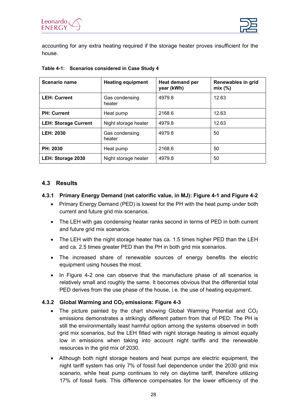

accounting for any extra heating required if the storage heater proves insufficient for the house.

| Scenario name               | <b>Heating equipment</b> | Heat demand per<br>year (kWh) | Renewables in grid<br>mix(%) |
|-----------------------------|--------------------------|-------------------------------|------------------------------|
| <b>LEH: Current</b>         | Gas condensing<br>heater | 4979.8                        | 12.63                        |
| <b>PH: Current</b>          | Heat pump                | 2168.6                        | 12.63                        |
| <b>LEH: Storage Current</b> | Night storage heater     | 4979.8                        | 12.63                        |
| <b>LEH: 2030</b>            | Gas condensing<br>heater | 4979.8                        | 50                           |
| PH: 2030                    | Heat pump                | 2168.6                        | 50                           |
| LEH: Storage 2030           | Night storage heater     | 4979.8                        | 50                           |

#### <span id="page-27-3"></span>**Table 4-1: Scenarios considered in Case Study 4**

#### <span id="page-27-0"></span>**4.3 Results**

#### <span id="page-27-1"></span>**4.3.1 Primary Energy Demand (net calorific value, in MJ): [Figure 4-1](#page-28-0) and [Figure 4-2](#page-28-1)**

- Primary Energy Demand (PED) is lowest for the PH with the heat pump under both current and future grid mix scenarios.
- The LEH with gas condensing heater ranks second in terms of PED in both current and future grid mix scenarios.
- The LEH with the night storage heater has ca. 1.5 times higher PED than the LEH and ca. 2.5 times greater PED than the PH in both grid mix scenarios.
- The increased share of renewable sources of energy benefits the electric equipment using houses the most.
- In [Figure 4-2](#page-28-1) one can observe that the manufacture phase of all scenarios is relatively small and roughly the same. It becomes obvious that the differential total PED derives from the use phase of the house, i.e. the use of heating equipment.

#### <span id="page-27-2"></span>**4.3.2 Global Warming and CO2 emissions: [Figure 4-3](#page-29-1)**

- The picture painted by the chart showing Global Warming Potential and  $CO<sub>2</sub>$ emissions demonstrates a strikingly different pattern from that of PED: The PH is still the environmentally least harmful option among the systems observed in both grid mix scenarios, but the LEH fitted with night storage heating is almost equally low in emissions when taking into account night tariffs and the renewable resources in the grid mix of 2030.
- Although both night storage heaters and heat pumps are electric equipment, the night tariff system has only 7% of fossil fuel dependence under the 2030 grid mix scenario, while heat pump continues to rely on daytime tariff, therefore utilizing 17% of fossil fuels. This difference compensates for the lower efficiency of the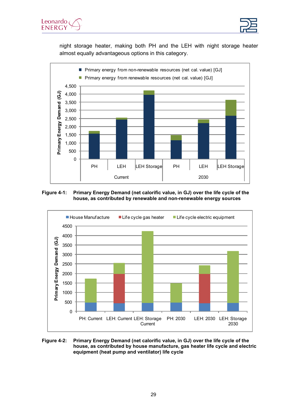



night storage heater, making both PH and the LEH with night storage heater almost equally advantageous options in this category.



#### <span id="page-28-0"></span>**Figure 4-1: Primary Energy Demand (net calorific value, in GJ) over the life cycle of the house, as contributed by renewable and non-renewable energy sources**



<span id="page-28-1"></span>**Figure 4-2: Primary Energy Demand (net calorific value, in GJ) over the life cycle of the house, as contributed by house manufacture, gas heater life cycle and electric equipment (heat pump and ventilator) life cycle**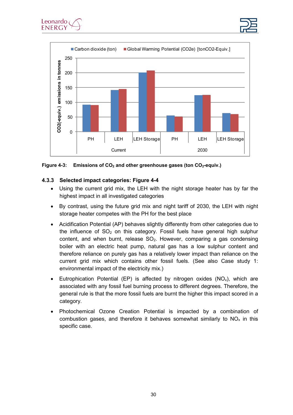





<span id="page-29-1"></span>Figure 4-3: Emissions of CO<sub>2</sub> and other greenhouse gases (ton CO<sub>2</sub>-equiv.)

#### <span id="page-29-0"></span>**4.3.3 Selected impact categories: [Figure 4-4](#page-30-1)**

- Using the current grid mix, the LEH with the night storage heater has by far the highest impact in all investigated categories
- By contrast, using the future grid mix and night tariff of 2030, the LEH with night storage heater competes with the PH for the best place
- Acidification Potential (AP) behaves slightly differently from other categories due to the influence of  $SO<sub>2</sub>$  on this category. Fossil fuels have general high sulphur content, and when burnt, release  $SO<sub>2</sub>$ . However, comparing a gas condensing boiler with an electric heat pump, natural gas has a low sulphur content and therefore reliance on purely gas has a relatively lower impact than reliance on the current grid mix which contains other fossil fuels. (See also [Case study 1:](#page-10-0) [environmental impact of the electricity mix.](#page-10-0))
- Eutrophication Potential (EP) is affected by nitrogen oxides  $(NO_x)$ , which are associated with any fossil fuel burning process to different degrees. Therefore, the general rule is that the more fossil fuels are burnt the higher this impact scored in a category.
- Photochemical Ozone Creation Potential is impacted by a combination of combustion gases, and therefore it behaves somewhat similarly to  $NO<sub>x</sub>$  in this specific case.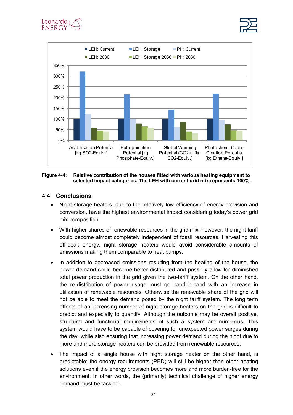



<span id="page-30-1"></span>**Figure 4-4: Relative contribution of the houses fitted with various heating equipment to selected impact categories. The LEH with current grid mix represents 100%.**

#### <span id="page-30-0"></span>**4.4 Conclusions**

- Night storage heaters, due to the relatively low efficiency of energy provision and conversion, have the highest environmental impact considering today's power grid mix composition.
- With higher shares of renewable resources in the grid mix, however, the night tariff could become almost completely independent of fossil resources. Harvesting this off-peak energy, night storage heaters would avoid considerable amounts of emissions making them comparable to heat pumps.
- In addition to decreased emissions resulting from the heating of the house, the power demand could become better distributed and possibly allow for diminished total power production in the grid given the two-tariff system. On the other hand, the re-distribution of power usage must go hand-in-hand with an increase in utilization of renewable resources. Otherwise the renewable share of the grid will not be able to meet the demand posed by the night tariff system. The long term effects of an increasing number of night storage heaters on the grid is difficult to predict and especially to quantify. Although the outcome may be overall positive, structural and functional requirements of such a system are numerous. This system would have to be capable of covering for unexpected power surges during the day, while also ensuring that increasing power demand during the night due to more and more storage heaters can be provided from renewable resources.
- The impact of a single house with night storage heater on the other hand, is predictable: the energy requirements (PED) will still be higher than other heating solutions even if the energy provision becomes more and more burden-free for the environment. In other words, the (primarily) technical challenge of higher energy demand must be tackled.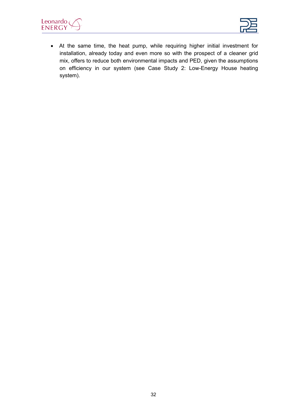



• At the same time, the heat pump, while requiring higher initial investment for installation, already today and even more so with the prospect of a cleaner grid mix, offers to reduce both environmental impacts and PED, given the assumptions on efficiency in our system (see [Case Study 2: Low-Energy House heating](#page-15-0)  [system\)](#page-15-0).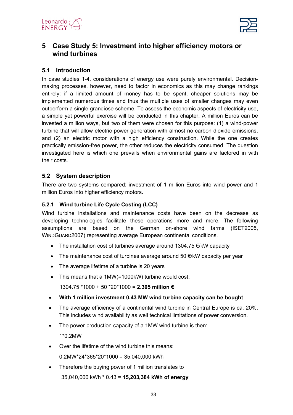

### <span id="page-32-0"></span>**5 Case Study 5: Investment into higher efficiency motors or wind turbines**

#### <span id="page-32-1"></span>**5.1 Introduction**

In case studies 1-4, considerations of energy use were purely environmental. Decisionmaking processes, however, need to factor in economics as this may change rankings entirely: if a limited amount of money has to be spent, cheaper solutions may be implemented numerous times and thus the multiple uses of smaller changes may even outperform a single grandiose scheme. To assess the economic aspects of electricity use, a simple yet powerful exercise will be conducted in this chapter. A million Euros can be invested a million ways, but two of them were chosen for this purpose: (1) a wind-power turbine that will allow electric power generation with almost no carbon dioxide emissions, and (2) an electric motor with a high efficiency construction. While the one creates practically emission-free power, the other reduces the electricity consumed. The question investigated here is which one prevails when environmental gains are factored in with their costs.

#### <span id="page-32-2"></span>**5.2 System description**

There are two systems compared: investment of 1 million Euros into wind power and 1 million Euros into higher efficiency motors.

#### <span id="page-32-3"></span>**5.2.1 Wind turbine Life Cycle Costing (LCC)**

Wind turbine installations and maintenance costs have been on the decrease as developing technologies facilitate these operations more and more. The following assumptions are based on the German on-shore wind farms (ISET2005, WINDGUARD2007) representing average European continental conditions.

- The installation cost of turbines average around 1304.75 €/kW capacity
- The maintenance cost of turbines average around 50 €/kW capacity per year
- The average lifetime of a turbine is 20 years
- This means that a 1MW(=1000kW) turbine would cost:

1304.75 \*1000 + 50 \*20\*1000 = **2.305 million €**

- **With 1 million investment 0.43 MW wind turbine capacity can be bought**
- The average efficiency of a continental wind turbine in Central Europe is ca. 20%. This includes wind availability as well technical limitations of power conversion.
- The power production capacity of a 1MW wind turbine is then: 1\*0.2MW
- Over the lifetime of the wind turbine this means: 0.2MW\*24\*365\*20\*1000 = 35,040,000 kWh
- Therefore the buying power of 1 million translates to 35,040,000 kWh **\*** 0.43 = **15,203,384 kWh of energy**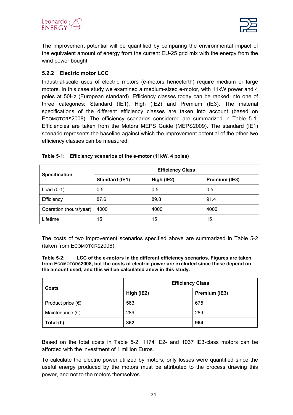



The improvement potential will be quantified by comparing the environmental impact of the equivalent amount of energy from the current EU-25 grid mix with the energy from the wind power bought.

#### <span id="page-33-0"></span>**5.2.2 Electric motor LCC**

Industrial-scale uses of electric motors (e-motors henceforth) require medium or large motors. In this case study we examined a medium-sized e-motor, with 11kW power and 4 poles at 50Hz (European standard). Efficiency classes today can be ranked into one of three categories: Standard (IE1), High (IE2) and Premium (IE3). The material specifications of the different efficiency classes are taken into account (based on ECOMOTORS2008). The efficiency scenarios considered are summarized in [Table 5-1.](#page-33-1) Efficiencies are taken from the Motors MEPS Guide (MEPS2009). The standard (IE1) scenario represents the baseline against which the improvement potential of the other two efficiency classes can be measured.

| <b>Specification</b>   | <b>Efficiency Class</b> |            |               |  |
|------------------------|-------------------------|------------|---------------|--|
|                        | <b>Standard (IE1)</b>   | High (IE2) | Premium (IE3) |  |
| Load $(0-1)$           | 0.5                     | 0.5        | 0.5           |  |
| Efficiency             | 87.6                    | 89.8       | 91.4          |  |
| Operation (hours/year) | 4000                    | 4000       | 4000          |  |
| Lifetime               | 15                      | 15         | 15            |  |

#### <span id="page-33-1"></span>**Table 5-1: Efficiency scenarios of the e-motor (11kW, 4 poles)**

The costs of two improvement scenarios specified above are summarized in [Table 5-2](#page-33-2) (taken from ECOMOTORS2008).

<span id="page-33-2"></span>**Table 5-2: LCC of the e-motors in the different efficiency scenarios. Figures are taken from ECOMOTORS2008, but the costs of electric power are excluded since these depend on the amount used, and this will be calculated anew in this study.**

|                            | <b>Efficiency Class</b> |               |  |
|----------------------------|-------------------------|---------------|--|
| Costs                      | High (IE2)              | Premium (IE3) |  |
| Product price $(\epsilon)$ | 563                     | 675           |  |
| Maintenance $(\epsilon)$   | 289                     | 289           |  |
| Total (€)                  | 852                     | 964           |  |

Based on the total costs in [Table 5-2,](#page-33-2) 1174 IE2- and 1037 IE3-class motors can be afforded with the investment of 1 million Euros.

To calculate the electric power utilized by motors, only losses were quantified since the useful energy produced by the motors must be attributed to the process drawing this power, and not to the motors themselves.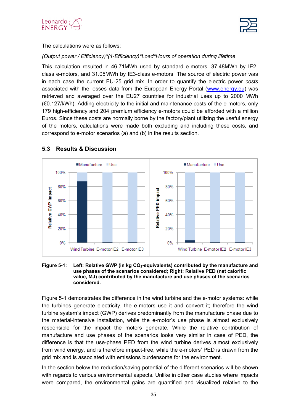

The calculations were as follows:

#### *(Output power / Efficiency)\*(1-Efficiency)\*Load\*Hours of operation during lifetime*

This calculation resulted in 46.71MWh used by standard e-motors, 37.48MWh by IE2 class e-motors, and 31.05MWh by IE3-class e-motors. The source of electric power was in each case the current EU-25 grid mix. In order to quantify the electric power *costs* associated with the losses data from the European Energy Portal [\(www.energy.eu\)](http://www.energy.eu/) was retrieved and averaged over the EU27 countries for industrial uses up to 2000 MWh (€0.127/kWh). Adding electricity to the initial and maintenance costs of the e-motors, only 179 high-efficiency and 204 premium efficiency e-motors could be afforded with a million Euros. Since these costs are normally borne by the factory/plant utilizing the useful energy of the motors, calculations were made both excluding and including these costs, and correspond to e-motor scenarios (a) and (b) in the results section.



#### <span id="page-34-0"></span>**5.3 Results & Discussion**

#### <span id="page-34-1"></span>Figure 5-1: Left: Relative GWP (in kg CO<sub>2</sub>-equivalents) contributed by the manufacture and **use phases of the scenarios considered; Right: Relative PED (net calorific value, MJ) contributed by the manufacture and use phases of the scenarios considered.**

[Figure 5-1](#page-34-1) demonstrates the difference in the wind turbine and the e-motor systems: while the turbines generate electricity, the e-motors use it and convert it; therefore the wind turbine system's impact (GWP) derives predominantly from the manufacture phase due to the material-intensive installation, while the e-motor's use phase is almost exclusively responsible for the impact the motors generate. While the relative contribution of manufacture and use phases of the scenarios looks very similar in case of PED, the difference is that the use-phase PED from the wind turbine derives almost exclusively from wind energy, and is therefore impact-free, while the e-motors' PED is drawn from the grid mix and is associated with emissions burdensome for the environment.

In the section below the reduction/saving potential of the different scenarios will be shown with regards to various environmental aspects. Unlike in other case studies where impacts were compared, the environmental gains are quantified and visualized relative to the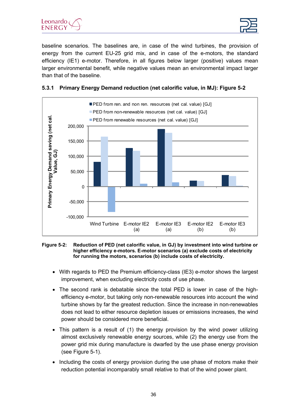



baseline scenarios. The baselines are, in case of the wind turbines, the provision of energy from the current EU-25 grid mix, and in case of the e-motors, the standard efficiency (IE1) e-motor. Therefore, in all figures below larger (positive) values mean larger environmental benefit, while negative values mean an environmental impact larger than that of the baseline.



#### <span id="page-35-0"></span>**5.3.1 Primary Energy Demand reduction (net calorific value, in MJ): [Figure 5-2](#page-35-1)**

<span id="page-35-1"></span>**Figure 5-2: Reduction of PED (net calorific value, in GJ) by investment into wind turbine or higher efficiency e-motors. E-motor scenarios (a) exclude costs of electricity for running the motors, scenarios (b) include costs of electricity.**

- With regards to PED the Premium efficiency-class (IE3) e-motor shows the largest improvement, when excluding electricity costs of use phase.
- The second rank is debatable since the total PED is lower in case of the highefficiency e-motor, but taking only non-renewable resources into account the wind turbine shows by far the greatest reduction. Since the increase in non-renewables does not lead to either resource depletion issues or emissions increases, the wind power should be considered more beneficial.
- This pattern is a result of (1) the energy provision by the wind power utilizing almost exclusively renewable energy sources, while (2) the energy use from the power grid mix during manufacture is dwarfed by the use phase energy provision (see [Figure 5-1\)](#page-34-1).
- Including the costs of energy provision during the use phase of motors make their reduction potential incomparably small relative to that of the wind power plant.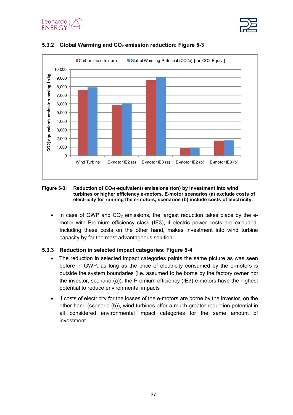





#### <span id="page-36-0"></span>**5.3.2 Global Warming and CO2 emission reduction: [Figure 5-3](#page-36-2)**

#### <span id="page-36-2"></span>**Figure 5-3: Reduction of CO2(-equivalent) emissions (ton) by investment into wind turbines or higher efficiency e-motors. E-motor scenarios (a) exclude costs of electricity for running the e-motors, scenarios (b) include costs of electricity.**

In case of GWP and  $CO<sub>2</sub>$  emissions, the largest reduction takes place by the emotor with Premium efficiency class (IE3), if electric power costs are excluded. Including these costs on the other hand, makes investment into wind turbine capacity by far the most advantageous solution.

#### <span id="page-36-1"></span>**5.3.3 Reduction in selected impact categories: [Figure 5-4](#page-37-1)**

- The reduction in selected impact categories paints the same picture as was seen before in GWP: as long as the price of electricity consumed by the e-motors is outside the system boundaries (i.e. assumed to be borne by the factory owner not the investor, scenario (a)), the Premium efficiency (IE3) e-motors have the highest potential to reduce environmental impacts
- If costs of electricity for the losses of the e-motors are borne by the investor, on the other hand (scenario (b)), wind turbines offer a much greater reduction potential in all considered environmental impact categories for the same amount of investment.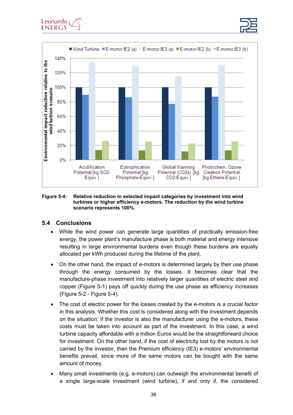



#### <span id="page-37-1"></span>**Figure 5-4: Relative reduction in selected impact categories by investment into wind turbines or higher efficiency e-motors. The reduction by the wind turbine scenario represents 100%.**

#### <span id="page-37-0"></span>**5.4 Conclusions**

- While the wind power can generate large quantities of practically emission-free energy, the power plant's manufacture phase is both material and energy intensive resulting in large environmental burdens even though these burdens are equally allocated per kWh produced during the lifetime of the plant.
- On the other hand, the impact of e-motors is determined largely by their use phase through the energy consumed by the losses. It becomes clear that the manufacture-phase investment into relatively larger quantities of electric steel and copper [\(Figure 5-1\)](#page-34-1) pays off quickly during the use phase as efficiency increases [\(Figure 5-2](#page-35-1) - [Figure 5-4\)](#page-37-1).
- The cost of electric power for the losses created by the e-motors is a crucial factor in this analysis. Whether this cost is considered along with the investment depends on the situation: if the investor is also the manufacturer using the e-motors, these costs must be taken into account as part of the investment. In this case, a wind turbine capacity affordable with a million Euros would be the straightforward choice for investment. On the other hand, if the cost of electricity lost by the motors is not carried by the investor, then the Premium efficiency (IE3) e-motors' environmental benefits prevail, since more of the same motors can be bought with the same amount of money.
- Many small investments (e.g. e-motors) can outweigh the environmental benefit of a single large-scale investment (wind turbine), if and only if, the considered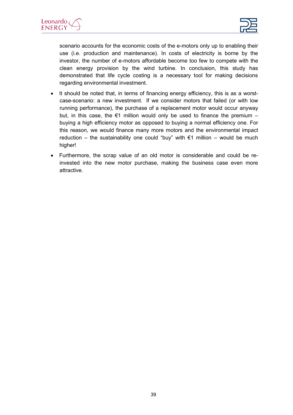



scenario accounts for the economic costs of the e-motors only up to enabling their use (i.e. production and maintenance). In costs of electricity is borne by the investor, the number of e-motors affordable become too few to compete with the clean energy provision by the wind turbine. In conclusion, this study has demonstrated that life cycle costing is a necessary tool for making decisions regarding environmental investment.

- It should be noted that, in terms of financing energy efficiency, this is as a worstcase-scenario: a new investment. If we consider motors that failed (or with low running performance), the purchase of a replacement motor would occur anyway but, in this case, the  $\epsilon$ 1 million would only be used to finance the premium – buying a high efficiency motor as opposed to buying a normal efficiency one. For this reason, we would finance many more motors and the environmental impact reduction – the sustainability one could "buy" with  $\epsilon$ 1 million – would be much higher!
- Furthermore, the scrap value of an old motor is considerable and could be reinvested into the new motor purchase, making the business case even more attractive.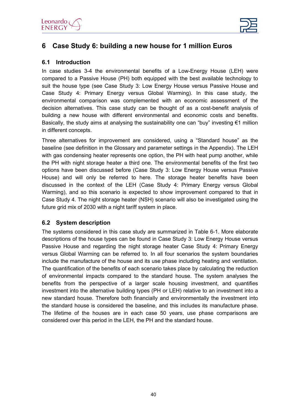

## <span id="page-39-0"></span>**6 Case Study 6: building a new house for 1 million Euros**

#### <span id="page-39-1"></span>**6.1 Introduction**

In case studies 3-4 the environmental benefits of a Low-Energy House (LEH) were compared to a Passive House (PH) both equipped with the best available technology to suit the house type (see [Case Study 3: Low Energy House versus Passive House](#page-21-0) and [Case Study 4: Primary Energy versus Global Warming\)](#page-26-0). In this case study, the environmental comparison was complemented with an economic assessment of the decision alternatives. This case study can be thought of as a cost-benefit analysis of building a new house with different environmental and economic costs and benefits. Basically, the study aims at analysing the sustainability one can "buy" investing €1 million in different concepts.

Three alternatives for improvement are considered, using a "Standard house" as the baseline (see definition in the Glossary and parameter settings in the Appendix). The LEH with gas condensing heater represents one option, the PH with heat pump another, while the PH with night storage heater a third one. The environmental benefits of the first two options have been discussed before [\(Case Study 3: Low Energy House versus Passive](#page-21-0)  [House\)](#page-21-0) and will only be referred to here. The storage heater benefits have been discussed in the context of the LEH [\(Case Study 4: Primary Energy versus Global](#page-26-0)  [Warming\)](#page-26-0), and so this scenario is expected to show improvement compared to that in Case Study 4. The night storage heater (NSH) scenario will also be investigated using the future grid mix of 2030 with a night tariff system in place.

#### <span id="page-39-2"></span>**6.2 System description**

The systems considered in this case study are summarized in [Table 6-1.](#page-40-2) More elaborate descriptions of the house types can be found in [Case Study 3: Low Energy House versus](#page-21-0)  [Passive House](#page-21-0) and regarding the night storage heater [Case Study 4: Primary Energy](#page-26-0)  [versus Global Warming](#page-26-0) can be referred to. In all four scenarios the system boundaries include the manufacture of the house and its use phase including heating and ventilation. The quantification of the benefits of each scenario takes place by calculating the reduction of environmental impacts compared to the standard house. The system analyses the benefits from the perspective of a larger scale housing investment, and quantifies investment into the alternative building types (PH or LEH) relative to an investment into a new standard house. Therefore both financially and environmentally the investment into the standard house is considered the baseline, and this includes its manufacture phase. The lifetime of the houses are in each case 50 years, use phase comparisons are considered over this period in the LEH, the PH and the standard house.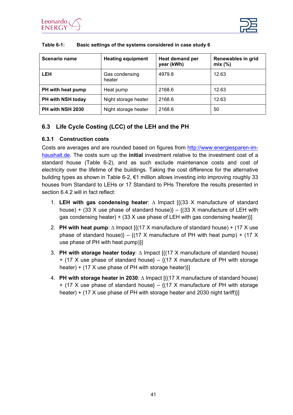



| <b>Scenario name</b> | <b>Heating equipment</b> | Heat demand per<br>year (kWh) | Renewables in grid<br>mix(%) |
|----------------------|--------------------------|-------------------------------|------------------------------|
| <b>LEH</b>           | Gas condensing<br>heater | 4979.8                        | 12.63                        |
| PH with heat pump    | Heat pump                | 2168.6                        | 12.63                        |
| PH with NSH today    | Night storage heater     | 2168.6                        | 12.63                        |
| PH with NSH 2030     | Night storage heater     | 2168.6                        | 50                           |

#### <span id="page-40-2"></span>**Table 6-1: Basic settings of the systems considered in case study 6**

#### <span id="page-40-0"></span>**6.3 Life Cycle Costing (LCC) of the LEH and the PH**

#### <span id="page-40-1"></span>**6.3.1 Construction costs**

Costs are averages and are rounded based on figures from [http://www.energiesparen-im](http://www.energiesparen-im-haushalt.de/)[haushalt.de.](http://www.energiesparen-im-haushalt.de/) The costs sum up the **initial** investment relative to the investment cost of a standard house [\(Table 6-2\)](#page-41-3), and as such exclude maintenance costs and cost of electricity over the lifetime of the buildings. Taking the cost difference for the alternative building types as shown in [Table 6-2,](#page-41-3) €1 million allows investing into improving roughly 33 houses from Standard to LEHs or 17 Standard to PHs Therefore the results presented in section [6.4.](#page-41-1)2 will in fact reflect:

- 1. **LEH with gas condensing heater**: ∆ Impact [{(33 X manufacture of standard house) + (33 X use phase of standard house)}  $-$  {(33 X manufacture of LEH with gas condensing heater) + (33 X use phase of LEH with gas condensing heater)}]
- 2. **PH with heat pump**: ∆ Impact [{(17 X manufacture of standard house) + (17 X use phase of standard house)} –  $\{(17 \times \text{manufacture of PH with heat pump}) + (17 \times \text{Time})\}$ use phase of PH with heat pump)}]
- 3. **PH with storage heater today**: ∆ Impact [{(17 X manufacture of standard house) + (17 X use phase of standard house} – {(17 X manufacture of PH with storage heater) + (17 X use phase of PH with storage heater)}]
- 4. **PH with storage heater in 2030**: ∆ Impact [{(17 X manufacture of standard house) + (17 X use phase of standard house}  $-$  {(17 X manufacture of PH with storage heater) + (17 X use phase of PH with storage heater and 2030 night tariff)}]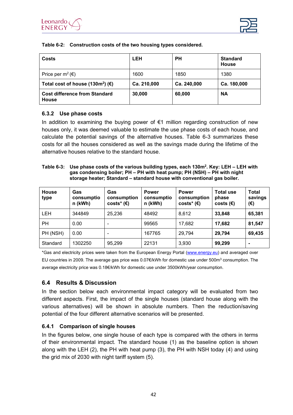



#### <span id="page-41-3"></span>**Table 6-2: Construction costs of the two housing types considered.**

| Costs                                                      | <b>LEH</b>  | <b>PH</b>   | <b>Standard</b><br><b>House</b> |
|------------------------------------------------------------|-------------|-------------|---------------------------------|
| Price per m <sup>2</sup> ( $\epsilon$ )                    | 1600        | 1850        | 1380                            |
| Total cost of house (130m <sup>2</sup> ) ( $\varepsilon$ ) | Ca. 210,000 | Ca. 240,000 | Ca. 180,000                     |
| <b>Cost difference from Standard</b><br><b>House</b>       | 30,000      | 60,000      | <b>NA</b>                       |

#### <span id="page-41-0"></span>**6.3.2 Use phase costs**

In addition to examining the buying power of  $€1$  million regarding construction of new houses only, it was deemed valuable to estimate the use phase costs of each house, and calculate the potential savings of the alternative houses. [Table 6-3](#page-41-4) summarizes these costs for all the houses considered as well as the savings made during the lifetime of the alternative houses relative to the standard house.

#### <span id="page-41-4"></span>**Table 6-3: Use phase costs of the various building types, each 130m2. Key: LEH – LEH with gas condensing boiler; PH – PH with heat pump; PH (NSH) – PH with night storage heater; Standard – standard house with conventional gas boiler.**

| <b>House</b><br>type | Gas<br>consumptio<br>n (kWh) | Gas<br>consumption<br>$costs^*(\epsilon)$ | <b>Power</b><br>consumptio<br>n (kWh) | <b>Power</b><br>consumption<br>$costs^*(\epsilon)$ | <b>Total use</b><br>phase<br>costs $(\epsilon)$ | <b>Total</b><br>savings<br>(€) |
|----------------------|------------------------------|-------------------------------------------|---------------------------------------|----------------------------------------------------|-------------------------------------------------|--------------------------------|
| <b>LEH</b>           | 344849                       | 25,236                                    | 48492                                 | 8,612                                              | 33,848                                          | 65,381                         |
| PH                   | 0.00                         | ۰                                         | 99565                                 | 17,682                                             | 17,682                                          | 81,547                         |
| PH (NSH)             | 0.00                         | $\overline{\phantom{0}}$                  | 167765                                | 29,794                                             | 29,794                                          | 69,435                         |
| Standard             | 1302250                      | 95,299                                    | 22131                                 | 3,930                                              | 99,299                                          | $\blacksquare$                 |

\*Gas and electricity prices were taken from the European Energy Portal [\(www.energy.eu\)](http://www.energy.eu/) and averaged over EU countries in 2009. The average gas price was 0.07€/kWh for domestic use under 500m<sup>3</sup> consumption. The average electricity price was 0.18€/kWh for domestic use under 3500kWh/year consumption.

#### <span id="page-41-1"></span>**6.4 Results & Discussion**

In the section below each environmental impact category will be evaluated from two different aspects. First, the impact of the single houses (standard house along with the various alternatives) will be shown in absolute numbers. Then the reduction/saving potential of the four different alternative scenarios will be presented.

#### <span id="page-41-2"></span>**6.4.1 Comparison of single houses**

In the figures below, one single house of each type is compared with the others in terms of their environmental impact. The standard house (1) as the baseline option is shown along with the LEH (2), the PH with heat pump (3), the PH with NSH today (4) and using the grid mix of 2030 with night tariff system (5).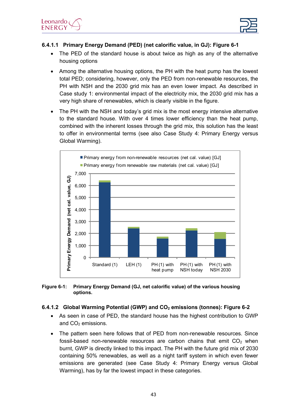



#### **6.4.1.1 Primary Energy Demand (PED) (net calorific value, in GJ): [Figure 6-1](#page-42-0)**

- The PED of the standard house is about twice as high as any of the alternative housing options
- Among the alternative housing options, the PH with the heat pump has the lowest total PED; considering, however, only the PED from non-renewable resources, the PH with NSH and the 2030 grid mix has an even lower impact. As described in Case study 1: [environmental impact of the electricity mix,](#page-10-0) the 2030 grid mix has a very high share of renewables, which is clearly visible in the figure.
- The PH with the NSH and today's grid mix is the most energy intensive alternative to the standard house. With over 4 times lower efficiency than the heat pump, combined with the inherent losses through the grid mix, this solution has the least to offer in environmental terms (see also [Case Study 4: Primary Energy versus](#page-26-0)  [Global Warming\)](#page-26-0).



<span id="page-42-0"></span>**Figure 6-1: Primary Energy Demand (GJ, net calorific value) of the various housing options.**

#### **6.4.1.2 Global Warming Potential (GWP) and CO2 emissions (tonnes): [Figure 6-2](#page-44-0)**

- As seen in case of PED, the standard house has the highest contribution to GWP and CO<sub>2</sub> emissions.
- The pattern seen here follows that of PED from non-renewable resources. Since fossil-based non-renewable resources are carbon chains that emit  $CO<sub>2</sub>$  when burnt, GWP is directly linked to this impact. The PH with the future grid mix of 2030 containing 50% renewables, as well as a night tariff system in which even fewer emissions are generated (see [Case Study 4: Primary Energy versus Global](#page-26-0)  [Warming\)](#page-26-0), has by far the lowest impact in these categories.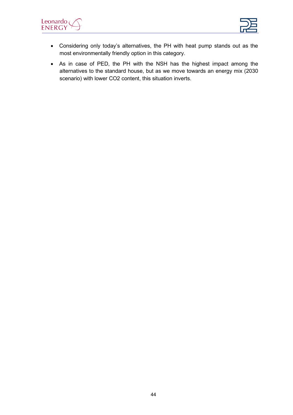



- Considering only today's alternatives, the PH with heat pump stands out as the most environmentally friendly option in this category.
- As in case of PED, the PH with the NSH has the highest impact among the alternatives to the standard house, but as we move towards an energy mix (2030 scenario) with lower CO2 content, this situation inverts.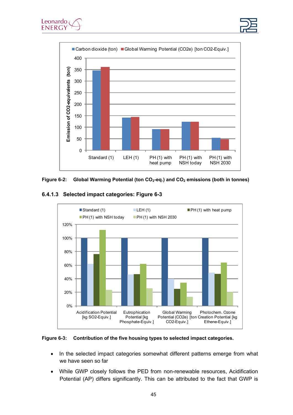





#### <span id="page-44-0"></span>**Figure 6-2: Global Warming Potential (ton CO2-eq.) and CO2 emissions (both in tonnes)**

#### **6.4.1.3 Selected impact categories: [Figure 6-3](#page-44-1)**



#### <span id="page-44-1"></span>**Figure 6-3: Contribution of the five housing types to selected impact categories.**

- In the selected impact categories somewhat different patterns emerge from what we have seen so far
- While GWP closely follows the PED from non-renewable resources, Acidification Potential (AP) differs significantly. This can be attributed to the fact that GWP is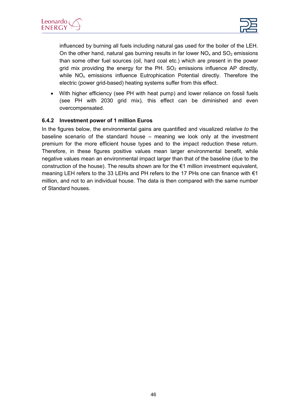

influenced by burning all fuels including natural gas used for the boiler of the LEH. On the other hand, natural gas burning results in far lower  $NO<sub>x</sub>$  and  $SO<sub>2</sub>$  emissions than some other fuel sources (oil, hard coal etc.) which are present in the power grid mix providing the energy for the PH.  $SO<sub>2</sub>$  emissions influence AP directly, while  $NO<sub>x</sub>$  emissions influence Eutrophication Potential directly. Therefore the electric (power grid-based) heating systems suffer from this effect.

• With higher efficiency (see PH with heat pump) and lower reliance on fossil fuels (see PH with 2030 grid mix), this effect can be diminished and even overcompensated.

#### **6.4.2 Investment power of 1 million Euros**

In the figures below, the environmental gains are quantified and visualized *relative to* the baseline scenario of the standard house – meaning we look only at the investment premium for the more efficient house types and to the impact reduction these return. Therefore, in these figures positive values mean larger environmental benefit, while negative values mean an environmental impact larger than that of the baseline (due to the construction of the house). The results shown are for the €1 million investment equivalent, meaning LEH refers to the 33 LEHs and PH refers to the 17 PHs one can finance with €1 million, and not to an individual house. The data is then compared with the same number of Standard houses.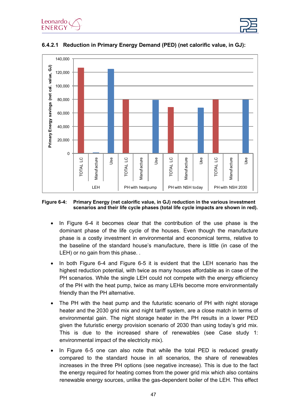





#### **6.4.2.1 Reduction in Primary Energy Demand (PED) (net calorific value, in GJ):**

#### <span id="page-46-0"></span>**Figure 6-4: Primary Energy (net calorific value, in GJ) reduction in the various investment scenarios and their life cycle phases (total life cycle impacts are shown in red).**

- In Figure 6-4 it becomes clear that the contribution of the use phase is the dominant phase of the life cycle of the houses. Even though the manufacture phase is a costly investment in environmental and economical terms, relative to the baseline of the standard house's manufacture, there is little (in case of the LEH) or no gain from this phase. .
- In both Figure 6-4 and [Figure 6-5](#page-47-0) it is evident that the LEH scenario has the highest reduction potential, with twice as many houses affordable as in case of the PH scenarios. While the single LEH could not compete with the energy efficiency of the PH with the heat pump, twice as many LEHs become more environmentally friendly than the PH alternative.
- The PH with the heat pump and the futuristic scenario of PH with night storage heater and the 2030 grid mix and night tariff system, are a close match in terms of environmental gain. The night storage heater in the PH results in a lower PED given the futuristic energy provision scenario of 2030 than using today's grid mix. This is due to the increased share of renewables (see [Case study 1:](#page-10-0) [environmental impact of the electricity mix\)](#page-10-0).
- In [Figure 6-5](#page-47-0) one can also note that while the total PED is reduced greatly compared to the standard house in all scenarios, the share of renewables increases in the three PH options (see negative increase). This is due to the fact the energy required for heating comes from the power grid mix which also contains renewable energy sources, unlike the gas-dependent boiler of the LEH. This effect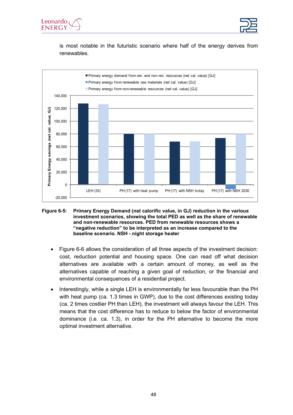



is most notable in the futuristic scenario where half of the energy derives from renewables.



#### <span id="page-47-0"></span>**Figure 6-5: Primary Energy Demand (net calorific value, in GJ) reduction in the various investment scenarios, showing the total PED as well as the share of renewable and non-renewable resources. PED from renewable resources shows a "negative reduction" to be interpreted as an increase compared to the baseline scenario. NSH - night storage heater**

- [Figure 6-6](#page-48-1) allows the consideration of all three aspects of the investment decision: cost, reduction potential and housing space. One can read off what decision alternatives are available with a certain amount of money, as well as the alternatives capable of reaching a given goal of reduction, or the financial and environmental consequences of a residential project.
- Interestingly, while a single LEH is environmentally far less favourable than the PH with heat pump (ca. 1.3 times in GWP), due to the cost differences existing today (ca. 2 times costlier PH than LEH), the investment will always favour the LEH. This means that the cost difference has to reduce to below the factor of environmental dominance (i.e. ca. 1.3), in order for the PH alternative to become the more optimal investment alternative.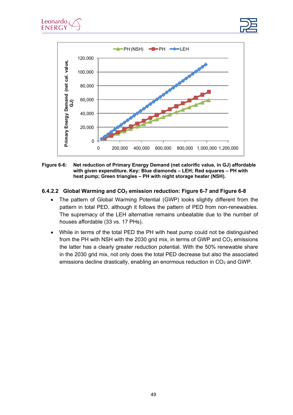





#### <span id="page-48-1"></span>**Figure 6-6: Net reduction of Primary Energy Demand (net calorific value, in GJ) affordable with given expenditure. Key: Blue diamonds – LEH; Red squares – PH with heat pump; Green triangles – PH with night storage heater (NSH).**

#### <span id="page-48-0"></span>**6.4.2.2 Global Warming and CO2 emission reduction: [Figure 6-7](#page-49-0) and [Figure 6-8](#page-50-1)**

- The pattern of Global Warming Potential (GWP) looks slightly different from the pattern in total PED, although it follows the pattern of PED from non-renewables. The supremacy of the LEH alternative remains unbeatable due to the number of houses affordable (33 vs. 17 PHs).
- While in terms of the total PED the PH with heat pump could not be distinguished from the PH with NSH with the 2030 grid mix, in terms of GWP and  $CO<sub>2</sub>$  emissions the latter has a clearly greater reduction potential. With the 50% renewable share in the 2030 grid mix, not only does the total PED decrease but also the associated emissions decline drastically, enabling an enormous reduction in  $CO<sub>2</sub>$  and GWP.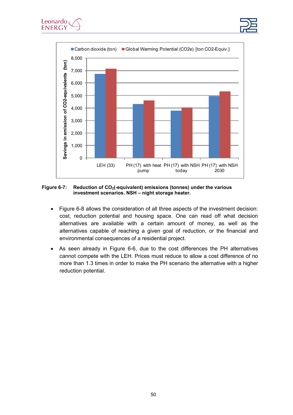



<span id="page-49-0"></span>Figure 6-7: Reduction of CO<sub>2</sub>(-equivalent) emissions (tonnes) under the various **investment scenarios. NSH – night storage heater.**

- [Figure 6-8](#page-50-1) allows the consideration of all three aspects of the investment decision: cost, reduction potential and housing space. One can read off what decision alternatives are available with a certain amount of money, as well as the alternatives capable of reaching a given goal of reduction, or the financial and environmental consequences of a residential project.
- As seen already in [Figure 6-6,](#page-48-1) due to the cost differences the PH alternatives cannot compete with the LEH. Prices must reduce to allow a cost difference of no more than 1.3 times in order to make the PH scenario the alternative with a higher reduction potential.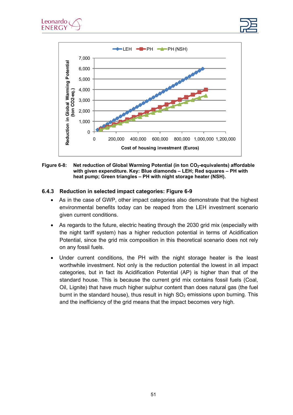



#### <span id="page-50-1"></span>Figure 6-8: Net reduction of Global Warming Potential (in ton CO<sub>2</sub>-equivalents) affordable **with given expenditure. Key: Blue diamonds – LEH; Red squares – PH with heat pump; Green triangles – PH with night storage heater (NSH).**

#### <span id="page-50-0"></span>**6.4.3 Reduction in selected impact categories: [Figure 6-9](#page-51-1)**

- As in the case of GWP, other impact categories also demonstrate that the highest environmental benefits today can be reaped from the LEH investment scenario given current conditions.
- As regards to the future, electric heating through the 2030 grid mix (especially with the night tariff system) has a higher reduction potential in terms of Acidification Potential, since the grid mix composition in this theoretical scenario does not rely on any fossil fuels.
- Under current conditions, the PH with the night storage heater is the least worthwhile investment. Not only is the reduction potential the lowest in all impact categories, but in fact its Acidification Potential (AP) is higher than that of the standard house. This is because the current grid mix contains fossil fuels (Coal, Oil, Lignite) that have much higher sulphur content than does natural gas (the fuel burnt in the standard house), thus result in high  $SO<sub>2</sub>$  emissions upon burning. This and the inefficiency of the grid means that the impact becomes very high.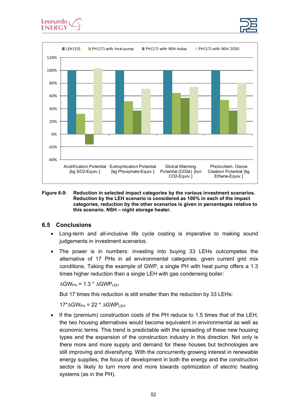





#### <span id="page-51-1"></span>**Figure 6-9: Reduction in selected impact categories by the various investment scenarios. Reduction by the LEH scenario is considered as 100% in each of the impact categories, reduction by the other scenarios is given in percentages relative to this scenario. NSH – night storage heater.**

#### <span id="page-51-0"></span>**6.5 Conclusions**

- Long-term and all-inclusive life cycle costing is imperative to making sound judgements in investment scenarios.
- The power is in numbers: investing into buying 33 LEHs outcompetes the alternative of 17 PHs in all environmental categories, given current grid mix conditions. Taking the example of GWP, a single PH with heat pump offers a 1.3 times higher reduction than a single LEH with gas condensing boiler:

 $\Delta$ GW<sub>PH</sub> = 1.3 \*  $\Delta$ GWP<sub>LEH</sub>

But 17 times this reduction is still smaller than the reduction by 33 LEHs:

 $17^*$ ∆GW<sub>PH</sub> = 22  $*$  ∆GWP<sub>LEH</sub>

If the (premium) construction costs of the PH reduce to 1.5 times that of the LEH, the two housing alternatives would become equivalent in environmental as well as economic terms. This trend is predictable with the spreading of these new housing types and the expansion of the construction industry in this direction. Not only is there more and more supply and demand for these houses but technologies are still improving and diversifying. With the concurrently growing interest in renewable energy supplies, the focus of development in both the energy and the construction sector is likely to turn more and more towards optimization of electric heating systems (as in the PH).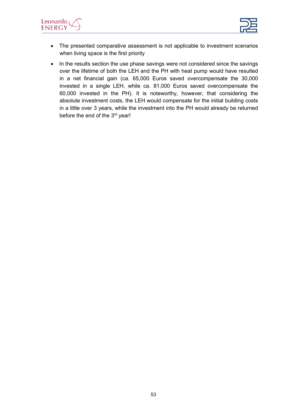



- The presented comparative assessment is not applicable to investment scenarios when living space is the first priority
- In the results section the use phase savings were not considered since the savings over the lifetime of both the LEH and the PH with heat pump would have resulted in a net financial gain (ca. 65,000 Euros saved overcompensate the 30,000 invested in a single LEH, while ca. 81,000 Euros saved overcompensate the 60,000 invested in the PH). It is noteworthy, however, that considering the absolute investment costs, the LEH would compensate for the initial building costs in a little over 3 years, while the investment into the PH would already be returned before the end of the 3<sup>rd</sup> year!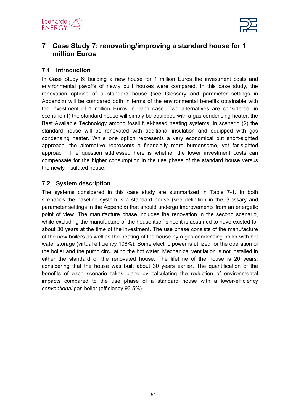

### <span id="page-53-0"></span>**7 Case Study 7: renovating/improving a standard house for 1 million Euros**

#### <span id="page-53-1"></span>**7.1 Introduction**

In [Case Study 6: building a new house for 1 million Euros](#page-39-0) the investment costs and environmental payoffs of newly built houses were compared. In this case study, the renovation options of a standard house (see Glossary and parameter settings in Appendix) will be compared both in terms of the environmental benefits obtainable with the investment of 1 million Euros in each case. Two alternatives are considered: in scenario (1) the standard house will simply be equipped with a gas condensing heater, the Best Available Technology among fossil fuel-based heating systems; in scenario (2) the standard house will be renovated with additional insulation and equipped with gas condensing heater. While one option represents a very economical but short-sighted approach, the alternative represents a financially more burdensome, yet far-sighted approach. The question addressed here is whether the lower investment costs can compensate for the higher consumption in the use phase of the standard house versus the newly insulated house.

#### <span id="page-53-2"></span>**7.2 System description**

The systems considered in this case study are summarized in [Table 7-1.](#page-54-3) In both scenarios the baseline system is a standard house (see definition in the Glossary and parameter settings in the Appendix) that should undergo improvements from an energetic point of view. The manufacture phase includes the renovation in the second scenario, while excluding the manufacture of the house itself since it is assumed to have existed for about 30 years at the time of the investment. The use phase consists of the manufacture of the new boilers as well as the heating of the house by a gas condensing boiler with hot water storage (virtual efficiency 106%). Some electric power is utilized for the operation of the boiler and the pump circulating the hot water. Mechanical ventilation is not installed in either the standard or the renovated house. The lifetime of the house is 20 years, considering that the house was built about 30 years earlier. The quantification of the benefits of each scenario takes place by calculating the reduction of environmental impacts compared to the use phase of a standard house with a lower-efficiency *conventional* gas boiler (efficiency 93.5%).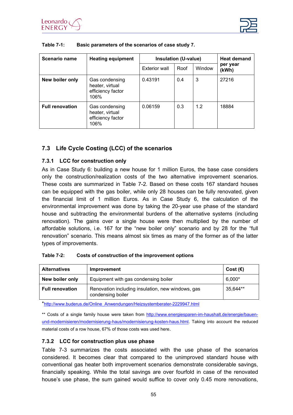



| Scenario name          | <b>Heating equipment</b>                                       | <b>Insulation (U-value)</b> |      |        | <b>Heat demand</b> |  |
|------------------------|----------------------------------------------------------------|-----------------------------|------|--------|--------------------|--|
|                        |                                                                | Exterior wall               | Roof | Window | per year<br>(kWh)  |  |
| New boiler only        | Gas condensing<br>heater, virtual<br>efficiency factor<br>106% | 0.43191                     | 0.4  | 3      | 27216              |  |
| <b>Full renovation</b> | Gas condensing<br>heater, virtual<br>efficiency factor<br>106% | 0.06159                     | 0.3  | 1.2    | 18884              |  |

#### <span id="page-54-3"></span>**Table 7-1: Basic parameters of the scenarios of case study 7.**

#### <span id="page-54-0"></span>**7.3 Life Cycle Costing (LCC) of the scenarios**

#### <span id="page-54-1"></span>**7.3.1 LCC for construction only**

As in [Case Study 6: building a new house for 1 million Euros,](#page-39-0) the base case considers only the construction/realization costs of the two alternative improvement scenarios. These costs are summarized in [Table 7-2.](#page-54-4) Based on these costs 167 standard houses can be equipped with the gas boiler, while only 28 houses can be fully renovated, given the financial limit of 1 million Euros. As in Case Study 6, the calculation of the environmental improvement was done by taking the 20-year use phase of the standard house and subtracting the environmental burdens of the alternative systems (including renovation). The gains over a single house were then multiplied by the number of affordable solutions, i.e. 167 for the "new boiler only" scenario and by 28 for the "full renovation" scenario. This means almost six times as many of the former as of the latter types of improvements.

| <b>Alternatives</b>    | Improvement                                                            | Cost $(E)$ |
|------------------------|------------------------------------------------------------------------|------------|
| New boiler only        | Equipment with gas condensing boiler                                   | $6,000*$   |
| <b>Full renovation</b> | Renovation including insulation, new windows, gas<br>condensing boiler | 35,644**   |

<span id="page-54-4"></span>

| Table 7-2: | Costs of construction of the improvement options |
|------------|--------------------------------------------------|
|------------|--------------------------------------------------|

[\\*http://www.buderus.de/Online\\_Anwendungen/Heizsystemberater-2229947.html](http://www.buderus.de/Online_Anwendungen/Heizsystemberater-2229947.html)

\*\* Costs of a single family house were taken from [http://www.energiesparen-im-haushalt.de/energie/bauen](http://www.energiesparen-im-haushalt.de/energie/bauen-und-modernisieren/modernisierung-haus/modernisierung-kosten-haus.html)[und-modernisieren/modernisierung-haus/modernisierung-kosten-haus.html.](http://www.energiesparen-im-haushalt.de/energie/bauen-und-modernisieren/modernisierung-haus/modernisierung-kosten-haus.html) Taking into account the reduced material costs of a row house, 67% of those costs was used here.

#### <span id="page-54-2"></span>**7.3.2 LCC for construction plus use phase**

[Table 7-3](#page-55-2) summarizes the costs associated with the use phase of the scenarios considered. It becomes clear that compared to the unimproved standard house with conventional gas heater both improvement scenarios demonstrate considerable savings, financially speaking. While the total savings are over fourfold in case of the renovated house's use phase, the sum gained would suffice to cover only 0.45 more renovations,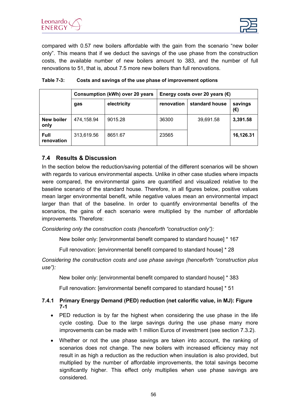

compared with 0.57 new boilers affordable with the gain from the scenario "new boiler only". This means that if we deduct the savings of the use phase from the construction costs, the available number of new boilers amount to 383, and the number of full renovations to 51, that is, about 7.5 more new boilers than full renovations.

|                    | <b>Consumption (kWh) over 20 years</b> |             | Energy costs over 20 years $(\epsilon)$ |                |                |
|--------------------|----------------------------------------|-------------|-----------------------------------------|----------------|----------------|
|                    | gas                                    | electricity | renovation                              | standard house | savings<br>(€) |
| New boiler<br>only | 474,158.94                             | 9015.28     | 36300                                   | 39,691.58      | 3,391.58       |
| Full<br>renovation | 313,619.56                             | 8651.67     | 23565                                   |                | 16,126.31      |

<span id="page-55-2"></span>

| <b>Table 7-3:</b> | Costs and savings of the use phase of improvement options |  |
|-------------------|-----------------------------------------------------------|--|
|                   |                                                           |  |

#### <span id="page-55-0"></span>**7.4 Results & Discussion**

In the section below the reduction/saving potential of the different scenarios will be shown with regards to various environmental aspects. Unlike in other case studies where impacts were compared, the environmental gains are quantified and visualized relative to the baseline scenario of the standard house. Therefore, in all figures below, positive values mean larger environmental benefit, while negative values mean an environmental impact larger than that of the baseline. In order to quantify environmental benefits of the scenarios, the gains of each scenario were multiplied by the number of affordable improvements. Therefore:

*Considering only the construction costs (henceforth "construction only"):*

New boiler only: [environmental benefit compared to standard house] \* 167

Full renovation: [environmental benefit compared to standard house] \* 28

*Considering the construction costs and use phase savings (henceforth "construction plus use"):*

New boiler only: [environmental benefit compared to standard house] \* 383

Full renovation: [environmental benefit compared to standard house] \* 51

#### <span id="page-55-1"></span>**7.4.1 Primary Energy Demand (PED) reduction (net calorific value, in MJ): [Figure](#page-56-1)  [7-1](#page-56-1)**

- PED reduction is by far the highest when considering the use phase in the life cycle costing. Due to the large savings during the use phase many more improvements can be made with 1 million Euros of investment (see section [7.3.2\)](#page-54-2).
- Whether or not the use phase savings are taken into account, the ranking of scenarios does not change. The new boilers with increased efficiency may not result in as high a reduction as the reduction when insulation is also provided, but multiplied by the number of affordable improvements, the total savings become significantly higher. This effect only multiplies when use phase savings are considered.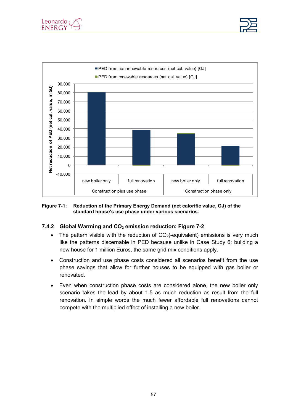





#### <span id="page-56-1"></span>**Figure 7-1: Reduction of the Primary Energy Demand (net calorific value, GJ) of the standard house's use phase under various scenarios.**

#### <span id="page-56-0"></span>**7.4.2 Global Warming and CO2 emission reduction: [Figure 7-2](#page-57-1)**

- The pattern visible with the reduction of  $CO<sub>2</sub>(=$  equivalent) emissions is very much like the patterns discernable in PED because unlike in [Case Study 6: building a](#page-39-0)  [new house for 1 million Euros,](#page-39-0) the same grid mix conditions apply.
- Construction and use phase costs considered all scenarios benefit from the use phase savings that allow for further houses to be equipped with gas boiler or renovated.
- Even when construction phase costs are considered alone, the new boiler only scenario takes the lead by about 1.5 as much reduction as result from the full renovation. In simple words the much fewer affordable full renovations cannot compete with the multiplied effect of installing a new boiler.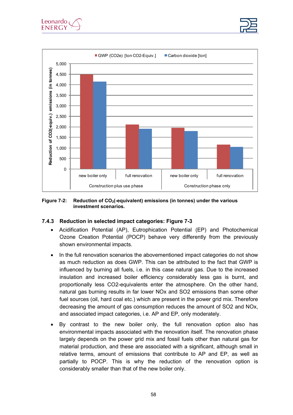





#### <span id="page-57-1"></span>**Figure 7-2: Reduction of CO2(-equivalent) emissions (in tonnes) under the various investment scenarios.**

#### <span id="page-57-0"></span>**7.4.3 Reduction in selected impact categories: [Figure 7-3](#page-58-1)**

- Acidification Potential (AP), Eutrophication Potential (EP) and Photochemical Ozone Creation Potential (POCP) behave very differently from the previously shown environmental impacts.
- In the full renovation scenarios the abovementioned impact categories do not show as much reduction as does GWP. This can be attributed to the fact that GWP is influenced by burning all fuels, i.e. in this case natural gas. Due to the increased insulation and increased boiler efficiency considerably less gas is burnt, and proportionally less CO2-equivalents enter the atmosphere. On the other hand, natural gas burning results in far lower NOx and SO2 emissions than some other fuel sources (oil, hard coal etc.) which are present in the power grid mix. Therefore decreasing the amount of gas consumption reduces the amount of SO2 and NOx, and associated impact categories, i.e. AP and EP, only moderately.
- By contrast to the new boiler only, the full renovation option also has environmental impacts associated with the renovation itself. The renovation phase largely depends on the power grid mix and fossil fuels other than natural gas for material production, and these are associated with a significant, although small in relative terms, amount of emissions that contribute to AP and EP, as well as partially to POCP. This is why the reduction of the renovation option is considerably smaller than that of the new boiler only.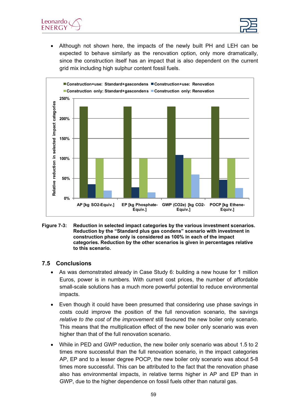



• Although not shown here, the impacts of the newly built PH and LEH can be expected to behave similarly as the renovation option, only more dramatically, since the construction itself has an impact that is also dependent on the current grid mix including high sulphur content fossil fuels.



<span id="page-58-1"></span>**Figure 7-3: Reduction in selected impact categories by the various investment scenarios. Reduction by the "Standard plus gas condens" scenario with investment in construction phase only is considered as 100% in each of the impact categories. Reduction by the other scenarios is given in percentages relative to this scenario.**

#### <span id="page-58-0"></span>**7.5 Conclusions**

- As was demonstrated already in Case Study 6: building a new house for 1 million [Euros,](#page-39-0) power is in numbers. With current cost prices, the number of affordable small-scale solutions has a much more powerful potential to reduce environmental impacts.
- Even though it could have been presumed that considering use phase savings in costs could improve the position of the full renovation scenario, the savings *relative to the cost of the improvement* still favoured the new boiler only scenario. This means that the multiplication effect of the new boiler only scenario was even higher than that of the full renovation scenario.
- While in PED and GWP reduction, the new boiler only scenario was about 1.5 to 2 times more successful than the full renovation scenario, in the impact categories AP, EP and to a lesser degree POCP, the new boiler only scenario was about 5-8 times more successful. This can be attributed to the fact that the renovation phase also has environmental impacts, in relative terms higher in AP and EP than in GWP, due to the higher dependence on fossil fuels other than natural gas.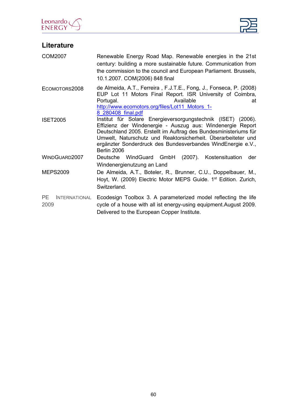

# <span id="page-59-0"></span>**Literature**

<span id="page-59-1"></span>

| COM2007                                   | Renewable Energy Road Map. Renewable energies in the 21st<br>century: building a more sustainable future. Communication from<br>the commission to the council and European Parliament. Brussels,<br>10.1.2007. COM(2006) 848 final                                                                                                            |
|-------------------------------------------|-----------------------------------------------------------------------------------------------------------------------------------------------------------------------------------------------------------------------------------------------------------------------------------------------------------------------------------------------|
| ECOMOTORS2008                             | de Almeida, A.T., Ferreira, F.J.T.E., Fong, J., Fonseca, P. (2008)<br>EUP Lot 11 Motors Final Report. ISR University of Coimbra,<br>Available<br>Portugal.<br>at<br>http://www.ecomotors.org/files/Lot11 Motors 1-<br>8 280408 final.pdf                                                                                                      |
| <b>ISET2005</b>                           | Institut für Solare Energieversorgungstechnik (ISET) (2006).<br>Effizienz der Windenergie - Auszug aus: Windenergie Report<br>Deutschland 2005. Erstellt im Auftrag des Bundesministeriums für<br>Umwelt, Naturschutz und Reaktorsicherheit. Überarbeiteter und<br>ergänzter Sonderdruck des Bundesverbandes WindEnergie e.V.,<br>Berlin 2006 |
| WINDGUARD2007                             | Deutsche WindGuard GmbH (2007). Kostensituation<br>der<br>Windenergienutzung an Land                                                                                                                                                                                                                                                          |
| <b>MEPS2009</b>                           | De Almeida, A.T., Boteler, R., Brunner, C.U., Doppelbauer, M.,<br>Hoyt, W. (2009) Electric Motor MEPS Guide. 1 <sup>st</sup> Edition. Zurich,<br>Switzerland.                                                                                                                                                                                 |
| <b>PE</b><br><b>INTERNATIONAL</b><br>2009 | Ecodesign Toolbox 3. A parameterized model reflecting the life<br>cycle of a house with all ist energy-using equipment. August 2009.<br>Delivered to the European Copper Institute.                                                                                                                                                           |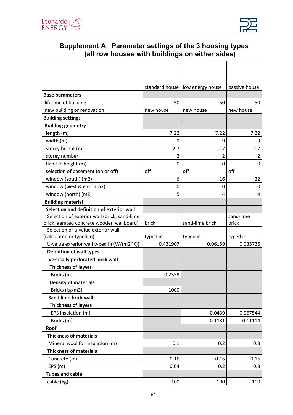



## <span id="page-60-0"></span>**Supplement A Parameter settings of the 3 housing types (all row houses with buildings on either sides)**

|                                              |                | standard house   low energy house | passive house  |
|----------------------------------------------|----------------|-----------------------------------|----------------|
| <b>Base parameters</b>                       |                |                                   |                |
| lifetime of building                         | 50             | 50                                | 50             |
| new building or renovation                   | new house      | new house                         | new house      |
| <b>Building settings</b>                     |                |                                   |                |
| <b>Building geometry</b>                     |                |                                   |                |
| length (m)                                   | 7.22           | 7.22                              | 7.22           |
| width (m)                                    | 9              | 9                                 | 9              |
| storey height (m)                            | 2.7            | 2.7                               | 2.7            |
| storey number                                | $\overline{2}$ | 2                                 | $\overline{2}$ |
| flap tile height (m)                         | 0              | 0                                 | 0              |
| selection of basement (on or off)            | off            | off                               | off            |
| window (south) (m2)                          | 6              | 16                                | 22             |
| window (west & east) (m2)                    | 0              | 0                                 | 0              |
| window (north) (m2)                          | 5              | 4                                 | 4              |
| <b>Building material</b>                     |                |                                   |                |
| Selection and definition of exterior wall    |                |                                   |                |
| Selection of exterior wall (brick, sand-lime |                |                                   | sand-lime      |
| brick, aerated concrete wooden wallboard)    | brick          | sand-lime brick                   | brick          |
| Selection of u-value exterior wall           |                |                                   |                |
| (calculated or typed in)                     | typed in       | typed in                          | typed in       |
| U-value exrerior wall typed in $(W/(m2*K))$  | 0.431907       | 0.06159                           | 0.035736       |
| <b>Definition of wall types</b>              |                |                                   |                |
| <b>Vertically perforated brick wall</b>      |                |                                   |                |
| <b>Thickness of layers</b>                   |                |                                   |                |
| Bricks (m)                                   | 0.2359         |                                   |                |
| <b>Density of materials</b>                  |                |                                   |                |
| Bricks (kg/m3)                               | 1000           |                                   |                |
| <b>Sand lime brick wall</b>                  |                |                                   |                |
| <b>Thickness of layers</b>                   |                |                                   |                |
| EPS insulation (m)                           |                | 0.0439                            | 0.067544       |
| Bricks (m)                                   |                | 0.1131                            | 0.11114        |
| Roof                                         |                |                                   |                |
| <b>Thickness of materials</b>                |                |                                   |                |
| Mineral wool for insulation (m)              | 0.1            | 0.2                               | 0.3            |
| <b>Thickness of materials</b>                |                |                                   |                |
| Concrete (m)                                 | 0.16           | 0.16                              | 0.16           |
| EPS(m)                                       | 0.04           | 0.2                               | 0.3            |
| <b>Tubes and cable</b>                       |                |                                   |                |
| cable (kg)                                   | 100            | 100                               | 100            |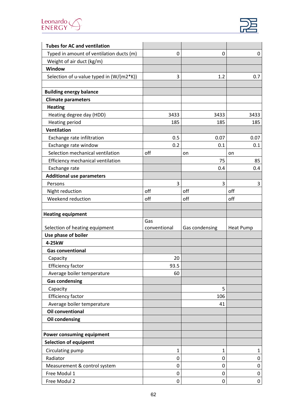

| <b>Tubes for AC and ventilation</b>      |              |                |                  |
|------------------------------------------|--------------|----------------|------------------|
| Typed in amount of ventilation ducts (m) | $\mathbf{0}$ | $\mathbf 0$    | $\mathbf 0$      |
| Weight of air duct (kg/m)                |              |                |                  |
| Window                                   |              |                |                  |
| Selection of u-value typed in (W/(m2*K)) | 3            | 1.2            | 0.7              |
|                                          |              |                |                  |
| <b>Building energy balance</b>           |              |                |                  |
| <b>Climate parameters</b>                |              |                |                  |
| <b>Heating</b>                           |              |                |                  |
| Heating degree day (HDD)                 | 3433         | 3433           | 3433             |
| Heating period                           | 185          | 185            | 185              |
| <b>Ventilation</b>                       |              |                |                  |
| Exchange rate infiltration               | 0.5          | 0.07           | 0.07             |
| Exchange rate window                     | 0.2          | 0.1            | 0.1              |
| Selection mechanical ventilation         | off          | on             | on               |
| Efficiency mechanical ventilation        |              | 75             | 85               |
| Exchange rate                            |              | 0.4            | 0.4              |
| <b>Additional use parameters</b>         |              |                |                  |
| Persons                                  | 3            | 3              | 3                |
| Night reduction                          | off          | off            | off              |
| Weekend reduction                        | off          | off            | off              |
|                                          |              |                |                  |
| <b>Heating equipment</b>                 |              |                |                  |
|                                          |              |                |                  |
|                                          | Gas          |                |                  |
| Selection of heating equipment           | conventional | Gas condensing | <b>Heat Pump</b> |
| Use phase of boiler                      |              |                |                  |
| 4-25kW                                   |              |                |                  |
| <b>Gas conventional</b>                  |              |                |                  |
| Capacity                                 | 20           |                |                  |
| <b>Efficiency factor</b>                 | 93.5         |                |                  |
| Average boiler temperature               | 60           |                |                  |
| <b>Gas condensing</b>                    |              |                |                  |
| Capacity                                 |              | 5              |                  |
| <b>Efficiency factor</b>                 |              | 106            |                  |
| Average boiler temperature               |              | 41             |                  |
| <b>Oil conventional</b>                  |              |                |                  |
| <b>Oil condensing</b>                    |              |                |                  |
| <b>Power consuming equipment</b>         |              |                |                  |
| <b>Selection of equipemt</b>             |              |                |                  |
| Circulating pump                         | 1            | 1              | 1                |
| Radiator                                 | 0            | 0              | 0                |
| Measurement & control system             | 0            | 0              | 0                |
| Free Modul 1                             | 0            | 0              | 0                |